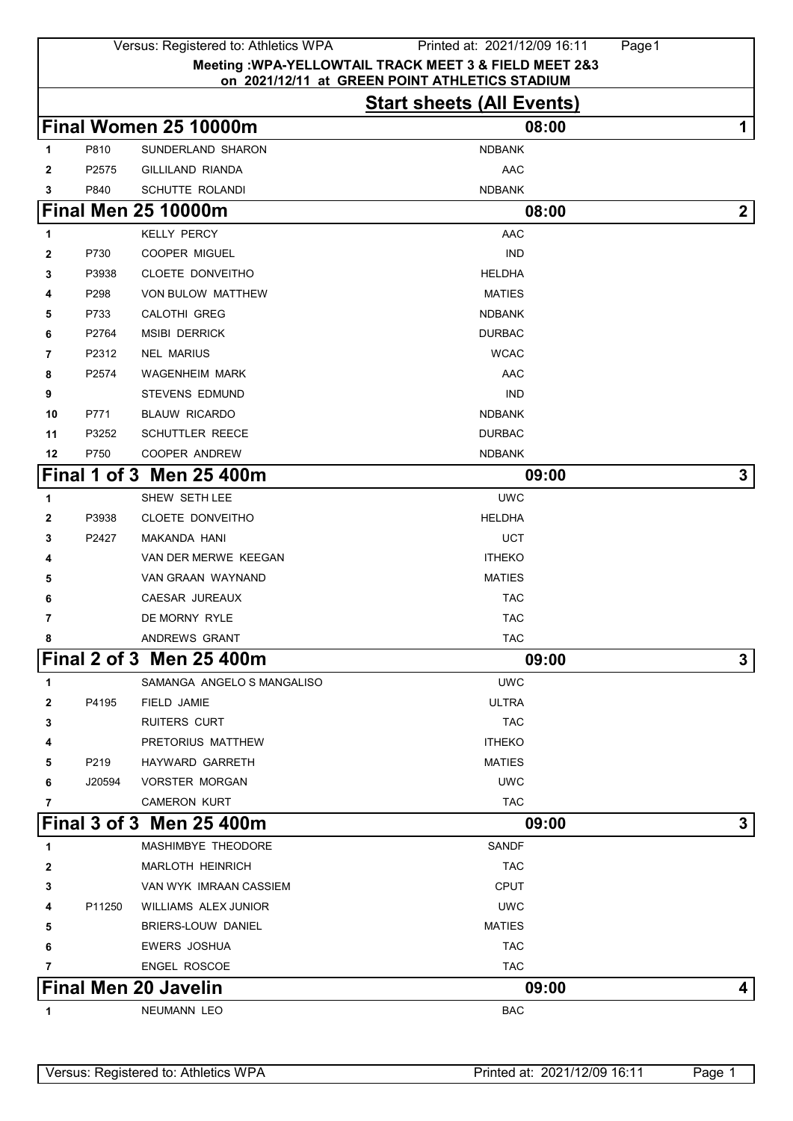|              |                | Versus: Registered to: Athletics WPA          | Printed at: 2021/12/09 16:11<br>Page 1                 |             |
|--------------|----------------|-----------------------------------------------|--------------------------------------------------------|-------------|
|              |                |                                               | Meeting : WPA-YELLOWTAIL TRACK MEET 3 & FIELD MEET 2&3 |             |
|              |                |                                               | on 2021/12/11 at GREEN POINT ATHLETICS STADIUM         |             |
|              |                |                                               | <b>Start sheets (All Events)</b>                       |             |
|              |                | Final Women 25 10000m                         | 08:00                                                  | 1           |
| 1            | P810           | SUNDERLAND SHARON                             | <b>NDBANK</b>                                          |             |
| $\mathbf{2}$ | P2575          | <b>GILLILAND RIANDA</b>                       | AAC                                                    |             |
| 3            | P840           | SCHUTTE ROLANDI<br><b>Final Men 25 10000m</b> | <b>NDBANK</b><br>08:00                                 | $\mathbf 2$ |
|              |                |                                               |                                                        |             |
| 1            |                | <b>KELLY PERCY</b>                            | <b>AAC</b>                                             |             |
| 2            | P730           | <b>COOPER MIGUEL</b>                          | <b>IND</b>                                             |             |
| 3            | P3938          | <b>CLOETE DONVEITHO</b>                       | <b>HELDHA</b>                                          |             |
| 4            | P298           | VON BULOW MATTHEW<br><b>CALOTHI GREG</b>      | <b>MATIES</b>                                          |             |
| 5            | P733           | <b>MSIBI DERRICK</b>                          | <b>NDBANK</b>                                          |             |
| 6<br>7       | P2764<br>P2312 | <b>NEL MARIUS</b>                             | <b>DURBAC</b><br><b>WCAC</b>                           |             |
| 8            | P2574          | <b>WAGENHEIM MARK</b>                         | AAC                                                    |             |
| 9            |                | <b>STEVENS EDMUND</b>                         | <b>IND</b>                                             |             |
| 10           | P771           | <b>BLAUW RICARDO</b>                          | <b>NDBANK</b>                                          |             |
| 11           | P3252          | <b>SCHUTTLER REECE</b>                        | <b>DURBAC</b>                                          |             |
| 12           | P750           | <b>COOPER ANDREW</b>                          | <b>NDBANK</b>                                          |             |
|              |                | Final 1 of 3 Men 25 400m                      | 09:00                                                  | 3           |
| 1            |                | SHEW SETH LEE                                 | <b>UWC</b>                                             |             |
| 2            | P3938          | CLOETE DONVEITHO                              | <b>HELDHA</b>                                          |             |
| 3            | P2427          | MAKANDA HANI                                  | <b>UCT</b>                                             |             |
| 4            |                | VAN DER MERWE KEEGAN                          | <b>ITHEKO</b>                                          |             |
| 5            |                | VAN GRAAN WAYNAND                             | <b>MATIES</b>                                          |             |
| 6            |                | CAESAR JUREAUX                                | <b>TAC</b>                                             |             |
| 7            |                | DE MORNY RYLE                                 | <b>TAC</b>                                             |             |
| 8            |                | ANDREWS GRANT                                 | <b>TAC</b>                                             |             |
|              |                | Final 2 of 3 Men 25 400m                      | 09:00                                                  | 3           |
| 1            |                | SAMANGA ANGELO S MANGALISO                    | <b>UWC</b>                                             |             |
| 2            | P4195          | FIELD JAMIE                                   | ULTRA                                                  |             |
| 3            |                | <b>RUITERS CURT</b>                           | <b>TAC</b>                                             |             |
| 4            |                | PRETORIUS MATTHEW                             | <b>ITHEKO</b>                                          |             |
| 5            | P219           | HAYWARD GARRETH                               | <b>MATIES</b>                                          |             |
| 6            | J20594         | <b>VORSTER MORGAN</b>                         | <b>UWC</b>                                             |             |
| 7            |                | <b>CAMERON KURT</b>                           | <b>TAC</b>                                             |             |
|              |                | <b>Final 3 of 3 Men 25 400m</b>               | 09:00                                                  | 3           |
| 1            |                | MASHIMBYE THEODORE                            | <b>SANDF</b>                                           |             |
| 2            |                | <b>MARLOTH HEINRICH</b>                       | <b>TAC</b>                                             |             |
| 3            |                | VAN WYK IMRAAN CASSIEM                        | <b>CPUT</b>                                            |             |
| 4            | P11250         | WILLIAMS ALEX JUNIOR                          | <b>UWC</b>                                             |             |
| 5            |                | BRIERS-LOUW DANIEL                            | <b>MATIES</b>                                          |             |
| 6            |                | <b>EWERS JOSHUA</b>                           | <b>TAC</b>                                             |             |
| 7            |                | <b>ENGEL ROSCOE</b>                           | <b>TAC</b>                                             |             |
|              |                | <b>Final Men 20 Javelin</b>                   | 09:00                                                  | 4           |
|              |                |                                               |                                                        |             |

**1 NEUMANN LEO BAC**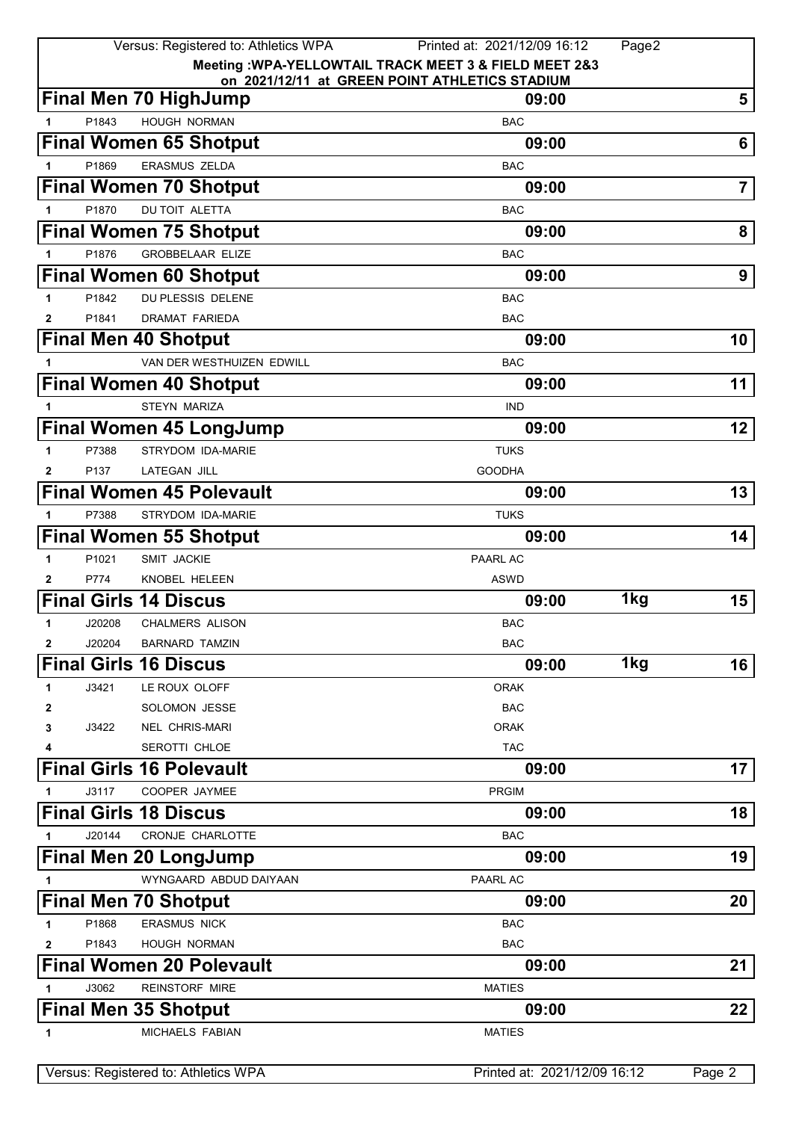|                   |                | Versus: Registered to: Athletics WPA       | Printed at: 2021/12/09 16:12<br>Page2                   |                |
|-------------------|----------------|--------------------------------------------|---------------------------------------------------------|----------------|
|                   |                |                                            | Meeting : WPA-YELLOWTAIL TRACK MEET 3 & FIELD MEET 2&3  |                |
|                   |                | <b>Final Men 70 HighJump</b>               | on 2021/12/11 at GREEN POINT ATHLETICS STADIUM<br>09:00 | 5              |
|                   |                |                                            |                                                         |                |
| 1                 | P1843          | HOUGH NORMAN                               | <b>BAC</b>                                              |                |
|                   |                | <b>Final Women 65 Shotput</b>              | 09:00                                                   | 6              |
|                   | P1869          | <b>ERASMUS ZELDA</b>                       | <b>BAC</b>                                              |                |
|                   |                | <b>Final Women 70 Shotput</b>              | 09:00                                                   | $\overline{7}$ |
| 1                 | P1870          | DU TOIT ALETTA                             | <b>BAC</b>                                              |                |
|                   |                | <b>Final Women 75 Shotput</b>              | 09:00                                                   | 8              |
|                   | P1876          | <b>GROBBELAAR ELIZE</b>                    | <b>BAC</b>                                              |                |
|                   |                | <b>Final Women 60 Shotput</b>              | 09:00                                                   | 9              |
| 1                 | P1842          | DU PLESSIS DELENE                          | <b>BAC</b>                                              |                |
| 2                 | P1841          | DRAMAT FARIEDA                             | <b>BAC</b>                                              |                |
|                   |                | <b>Final Men 40 Shotput</b>                | 09:00                                                   | 10             |
| 1                 |                | VAN DER WESTHUIZEN EDWILL                  | <b>BAC</b>                                              |                |
|                   |                | <b>Final Women 40 Shotput</b>              | 09:00                                                   | 11             |
| 1                 |                | <b>STEYN MARIZA</b>                        | <b>IND</b>                                              |                |
|                   |                | <b>Final Women 45 LongJump</b>             | 09:00                                                   | 12             |
| 1                 | P7388          | STRYDOM IDA-MARIE                          | <b>TUKS</b>                                             |                |
| $\mathbf{2}$      | P137           | <b>LATEGAN JILL</b>                        | <b>GOODHA</b>                                           |                |
|                   |                | <b>Final Women 45 Polevault</b>            | 09:00                                                   | 13             |
| 1.                | P7388          | STRYDOM IDA-MARIE                          | <b>TUKS</b>                                             |                |
|                   |                | <b>Final Women 55 Shotput</b>              | 09:00                                                   | 14             |
| 1                 | P1021          | SMIT JACKIE                                | <b>PAARL AC</b>                                         |                |
| $\mathbf{2}$      | P774           | KNOBEL HELEEN                              | ASWD                                                    |                |
|                   |                | <b>Final Girls 14 Discus</b>               | 1kg<br>09:00                                            | 15             |
| 1                 | J20208         | <b>CHALMERS ALISON</b>                     | <b>BAC</b>                                              |                |
| $\mathbf{2}$      | J20204         | <b>BARNARD TAMZIN</b>                      | <b>BAC</b>                                              |                |
|                   |                | <b>Final Girls 16 Discus</b>               | 1kg<br>09:00                                            | 16             |
| 1                 | J3421          | LE ROUX OLOFF                              | <b>ORAK</b>                                             |                |
| 2                 |                | <b>SOLOMON JESSE</b>                       | <b>BAC</b>                                              |                |
| 3                 | J3422          | <b>NEL CHRIS-MARI</b>                      | <b>ORAK</b>                                             |                |
| 4                 |                | SEROTTI CHLOE                              | <b>TAC</b>                                              |                |
|                   |                | <b>Final Girls 16 Polevault</b>            | 09:00                                                   | $17\,$         |
|                   | J3117          | COOPER JAYMEE                              | <b>PRGIM</b>                                            |                |
|                   |                | <b>Final Girls 18 Discus</b>               | 09:00                                                   | 18             |
| 1                 | J20144         | CRONJE CHARLOTTE                           | <b>BAC</b>                                              |                |
|                   |                | <b>Final Men 20 LongJump</b>               | 09:00                                                   | 19             |
| 1                 |                | WYNGAARD ABDUD DAIYAAN                     | <b>PAARL AC</b>                                         |                |
|                   |                | <b>Final Men 70 Shotput</b>                | 09:00                                                   | 20             |
|                   |                |                                            |                                                         |                |
| 1<br>$\mathbf{2}$ | P1868<br>P1843 | <b>ERASMUS NICK</b><br><b>HOUGH NORMAN</b> | <b>BAC</b><br><b>BAC</b>                                |                |
|                   |                | <b>Final Women 20 Polevault</b>            | 09:00                                                   | 21             |
|                   |                |                                            |                                                         |                |
| 1                 | J3062          | <b>REINSTORF MIRE</b>                      | <b>MATIES</b>                                           |                |
|                   |                | <b>Final Men 35 Shotput</b>                | 09:00                                                   | 22             |
| 1                 |                | MICHAELS FABIAN                            | <b>MATIES</b>                                           |                |
|                   |                | Versus: Registered to: Athletics WPA       | Printed at: 2021/12/09 16:12                            | Page 2         |
|                   |                |                                            |                                                         |                |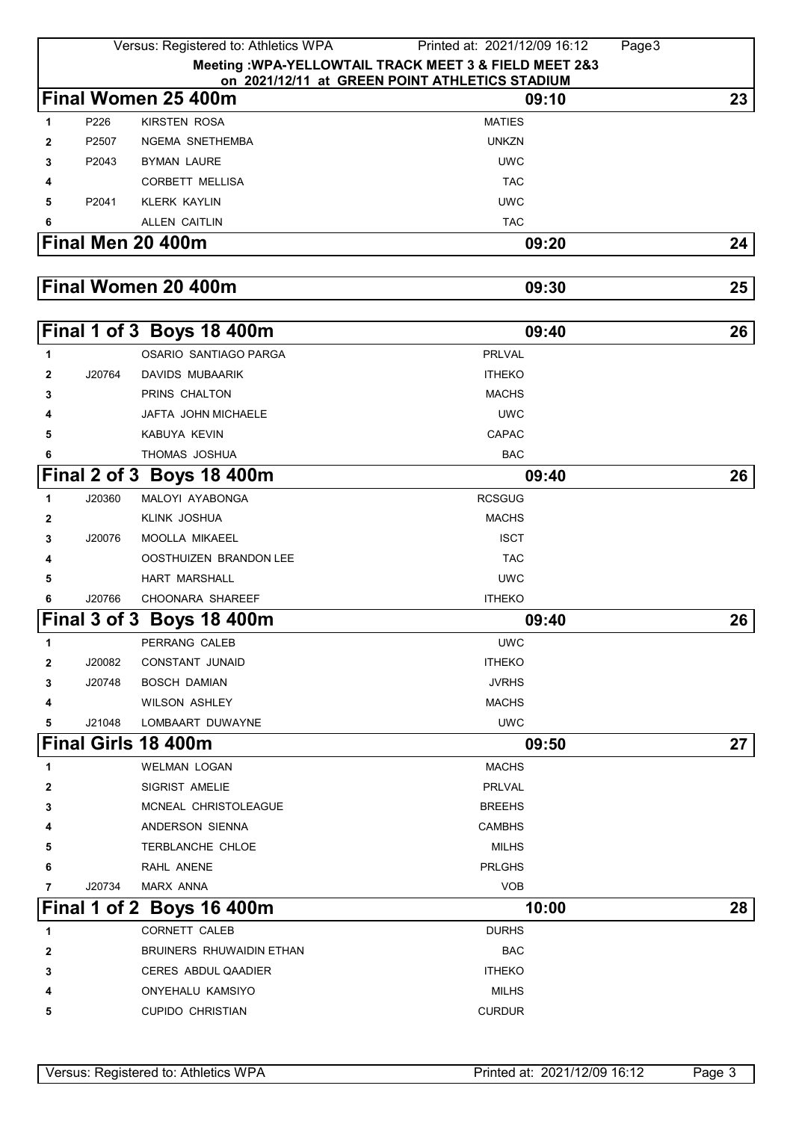|              |        | Versus: Registered to: Athletics WPA | Page3<br>Printed at: 2021/12/09 16:12                  |    |
|--------------|--------|--------------------------------------|--------------------------------------------------------|----|
|              |        |                                      | Meeting : WPA-YELLOWTAIL TRACK MEET 3 & FIELD MEET 2&3 |    |
|              |        |                                      | on 2021/12/11 at GREEN POINT ATHLETICS STADIUM         |    |
|              |        | Final Women 25 400m                  | 09:10                                                  | 23 |
| $\mathbf{1}$ | P226   | <b>KIRSTEN ROSA</b>                  | <b>MATIES</b>                                          |    |
| 2            | P2507  | NGEMA SNETHEMBA                      | <b>UNKZN</b>                                           |    |
| 3            | P2043  | BYMAN LAURE                          | <b>UWC</b>                                             |    |
| 4            |        | <b>CORBETT MELLISA</b>               | <b>TAC</b>                                             |    |
| 5            | P2041  | <b>KLERK KAYLIN</b>                  | <b>UWC</b>                                             |    |
| 6            |        | <b>ALLEN CAITLIN</b>                 | <b>TAC</b>                                             |    |
|              |        | Final Men 20 400m                    | 09:20                                                  | 24 |
|              |        |                                      |                                                        |    |
|              |        | Final Women 20 400m                  | 09:30                                                  | 25 |
|              |        |                                      |                                                        |    |
|              |        | Final 1 of 3 Boys 18 400m            | 09:40                                                  | 26 |
| $\mathbf{1}$ |        | OSARIO SANTIAGO PARGA                | <b>PRLVAL</b>                                          |    |
| $\mathbf{2}$ | J20764 | <b>DAVIDS MUBAARIK</b>               | <b>ITHEKO</b>                                          |    |
| 3            |        | PRINS CHALTON                        | <b>MACHS</b>                                           |    |
| 4            |        | JAFTA JOHN MICHAELE                  | <b>UWC</b>                                             |    |
| 5            |        | KABUYA KEVIN                         | CAPAC                                                  |    |
| 6            |        | THOMAS JOSHUA                        | <b>BAC</b>                                             |    |
|              |        | Final 2 of 3 Boys 18 400m            | 09:40                                                  | 26 |
| $\mathbf{1}$ | J20360 | MALOYI AYABONGA                      | <b>RCSGUG</b>                                          |    |
| 2            |        | KLINK JOSHUA                         | <b>MACHS</b>                                           |    |
| 3            | J20076 | MOOLLA MIKAEEL                       | <b>ISCT</b>                                            |    |
| 4            |        | OOSTHUIZEN BRANDON LEE               | <b>TAC</b>                                             |    |
| 5            |        | <b>HART MARSHALL</b>                 | <b>UWC</b>                                             |    |
| 6            | J20766 | CHOONARA SHAREEF                     | <b>ITHEKO</b>                                          |    |
|              |        | Final 3 of 3 Boys 18 400m            | 09:40                                                  | 26 |
| 1            |        | PERRANG CALEB                        | <b>UWC</b>                                             |    |
| 2            | J20082 | <b>CONSTANT JUNAID</b>               | <b>ITHEKO</b>                                          |    |
| 3            | J20748 | BOSCH DAMIAN                         | <b>JVRHS</b>                                           |    |
| 4            |        | <b>WILSON ASHLEY</b>                 | <b>MACHS</b>                                           |    |
| 5            | J21048 | LOMBAART DUWAYNE                     | <b>UWC</b>                                             |    |
|              |        | Final Girls 18 400m                  | 09:50                                                  | 27 |
| 1            |        | <b>WELMAN LOGAN</b>                  | <b>MACHS</b>                                           |    |
| 2            |        | SIGRIST AMELIE                       | PRLVAL                                                 |    |
| 3            |        | MCNEAL CHRISTOLEAGUE                 | <b>BREEHS</b>                                          |    |
|              |        | ANDERSON SIENNA                      | <b>CAMBHS</b>                                          |    |
| 5            |        | TERBLANCHE CHLOE                     | <b>MILHS</b>                                           |    |
| 6            |        | RAHL ANENE                           | <b>PRLGHS</b>                                          |    |
| 7            | J20734 | <b>MARX ANNA</b>                     | <b>VOB</b>                                             |    |
|              |        | Final 1 of 2 Boys 16 400m            | 10:00                                                  | 28 |
| 1            |        | <b>CORNETT CALEB</b>                 | <b>DURHS</b>                                           |    |
| 2            |        | <b>BRUINERS RHUWAIDIN ETHAN</b>      | <b>BAC</b>                                             |    |
| 3            |        | <b>CERES ABDUL QAADIER</b>           | <b>ITHEKO</b>                                          |    |
|              |        | ONYEHALU KAMSIYO                     | <b>MILHS</b>                                           |    |
| 5            |        | <b>CUPIDO CHRISTIAN</b>              | <b>CURDUR</b>                                          |    |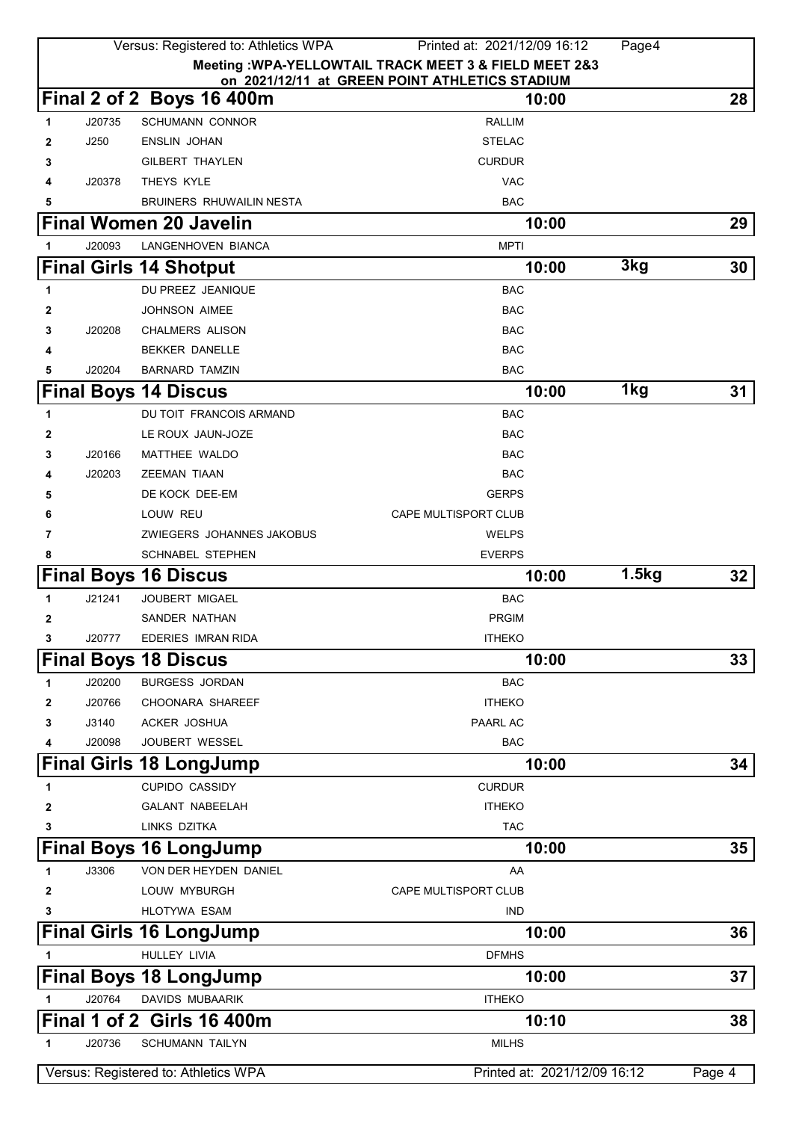|              |        | Versus: Registered to: Athletics WPA | Printed at: 2021/12/09 16:12                           | Page4 |        |
|--------------|--------|--------------------------------------|--------------------------------------------------------|-------|--------|
|              |        |                                      | Meeting : WPA-YELLOWTAIL TRACK MEET 3 & FIELD MEET 2&3 |       |        |
|              |        |                                      | on 2021/12/11 at GREEN POINT ATHLETICS STADIUM         |       |        |
|              |        | Final 2 of 2 Boys 16 400m            | 10:00                                                  |       | 28     |
| 1            | J20735 | <b>SCHUMANN CONNOR</b>               | <b>RALLIM</b>                                          |       |        |
| 2            | J250   | <b>ENSLIN JOHAN</b>                  | <b>STELAC</b>                                          |       |        |
| 3            |        | <b>GILBERT THAYLEN</b>               | <b>CURDUR</b>                                          |       |        |
| 4            | J20378 | THEYS KYLE                           | <b>VAC</b>                                             |       |        |
| 5            |        | BRUINERS RHUWAILIN NESTA             | <b>BAC</b>                                             |       |        |
|              |        | <b>Final Women 20 Javelin</b>        | 10:00                                                  |       | 29     |
| 1            | J20093 | LANGENHOVEN BIANCA                   | <b>MPTI</b>                                            |       |        |
|              |        | <b>Final Girls 14 Shotput</b>        | 10:00                                                  | 3kg   | 30     |
| 1            |        | DU PREEZ JEANIQUE                    | <b>BAC</b>                                             |       |        |
| 2            |        | JOHNSON AIMEE                        | <b>BAC</b>                                             |       |        |
| 3            | J20208 | <b>CHALMERS ALISON</b>               | <b>BAC</b>                                             |       |        |
| 4            |        | <b>BEKKER DANELLE</b>                | <b>BAC</b>                                             |       |        |
| 5            | J20204 | <b>BARNARD TAMZIN</b>                | <b>BAC</b>                                             |       |        |
|              |        | <b>Final Boys 14 Discus</b>          | 10:00                                                  | 1kg   | 31     |
| 1            |        | DU TOIT FRANCOIS ARMAND              | <b>BAC</b>                                             |       |        |
| 2            |        | LE ROUX JAUN-JOZE                    | <b>BAC</b>                                             |       |        |
| 3            | J20166 | MATTHEE WALDO                        | <b>BAC</b>                                             |       |        |
| 4            | J20203 | <b>ZEEMAN TIAAN</b>                  | <b>BAC</b>                                             |       |        |
| 5            |        | DE KOCK DEE-EM                       | <b>GERPS</b>                                           |       |        |
| 6            |        | LOUW REU                             | CAPE MULTISPORT CLUB                                   |       |        |
| 7            |        | ZWIEGERS JOHANNES JAKOBUS            | <b>WELPS</b>                                           |       |        |
| 8            |        | <b>SCHNABEL STEPHEN</b>              | <b>EVERPS</b>                                          |       |        |
|              |        | <b>Final Boys 16 Discus</b>          | 10:00                                                  | 1.5kg | 32     |
| 1            | J21241 | <b>JOUBERT MIGAEL</b>                | <b>BAC</b>                                             |       |        |
| 2            |        | SANDER NATHAN                        | <b>PRGIM</b>                                           |       |        |
| 3            | J20777 | EDERIES IMRAN RIDA                   | <b>ITHEKO</b>                                          |       |        |
|              |        | <b>Final Boys 18 Discus</b>          | 10:00                                                  |       | 33     |
| 1            | J20200 | <b>BURGESS JORDAN</b>                | <b>BAC</b>                                             |       |        |
| 2            | J20766 | CHOONARA SHAREEF                     | <b>ITHEKO</b>                                          |       |        |
| 3            | J3140  | ACKER JOSHUA                         | PAARL AC                                               |       |        |
| 4            | J20098 | JOUBERT WESSEL                       | <b>BAC</b>                                             |       |        |
|              |        | <b>Final Girls 18 LongJump</b>       | 10:00                                                  |       | 34     |
| 1            |        | <b>CUPIDO CASSIDY</b>                | <b>CURDUR</b>                                          |       |        |
| 2            |        | <b>GALANT NABEELAH</b>               | <b>ITHEKO</b>                                          |       |        |
| 3            |        | LINKS DZITKA                         | <b>TAC</b>                                             |       |        |
|              |        | <b>Final Boys 16 LongJump</b>        | 10:00                                                  |       | 35     |
|              | J3306  | VON DER HEYDEN DANIEL                | AA                                                     |       |        |
| 1            |        | LOUW MYBURGH                         | <b>CAPE MULTISPORT CLUB</b>                            |       |        |
| 2            |        | <b>HLOTYWA ESAM</b>                  | <b>IND</b>                                             |       |        |
| 3            |        |                                      |                                                        |       |        |
|              |        | <b>Final Girls 16 LongJump</b>       | 10:00                                                  |       | 36     |
| 1            |        | HULLEY LIVIA                         | <b>DFMHS</b>                                           |       |        |
|              |        | <b>Final Boys 18 LongJump</b>        | 10:00                                                  |       | 37     |
| 1            | J20764 | DAVIDS MUBAARIK                      | <b>ITHEKO</b>                                          |       |        |
|              |        | Final 1 of 2 Girls 16 400m           | 10:10                                                  |       | 38     |
| $\mathbf{1}$ | J20736 | <b>SCHUMANN TAILYN</b>               | <b>MILHS</b>                                           |       |        |
|              |        | Versus: Registered to: Athletics WPA | Printed at: 2021/12/09 16:12                           |       | Page 4 |
|              |        |                                      |                                                        |       |        |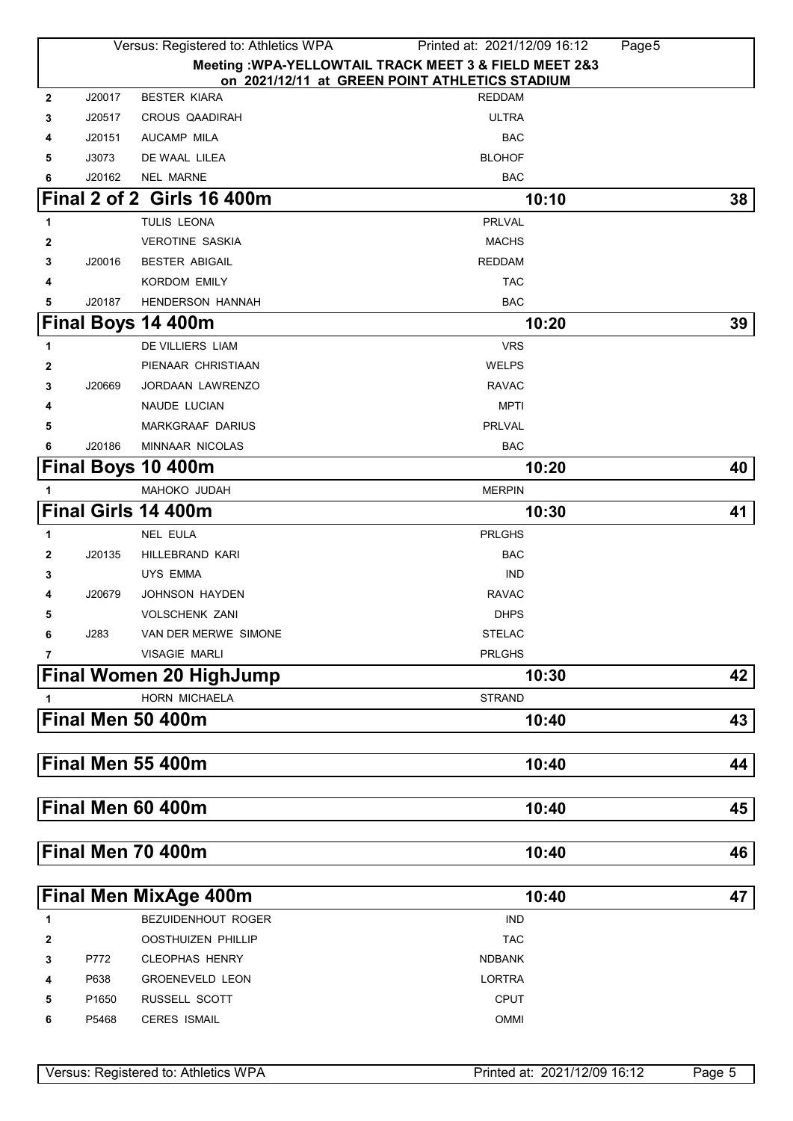|              |        | Versus: Registered to: Athletics WPA | Printed at: 2021/12/09 16:12                                    | Page5 |
|--------------|--------|--------------------------------------|-----------------------------------------------------------------|-------|
|              |        |                                      | Meeting : WPA-YELLOWTAIL TRACK MEET 3 & FIELD MEET 2&3          |       |
| $\mathbf{2}$ | J20017 | <b>BESTER KIARA</b>                  | on 2021/12/11 at GREEN POINT ATHLETICS STADIUM<br><b>REDDAM</b> |       |
| 3            | J20517 | <b>CROUS QAADIRAH</b>                | <b>ULTRA</b>                                                    |       |
| 4            | J20151 | <b>AUCAMP MILA</b>                   | <b>BAC</b>                                                      |       |
| 5            | J3073  | DE WAAL LILEA                        | <b>BLOHOF</b>                                                   |       |
| 6            | J20162 | <b>NEL MARNE</b>                     | <b>BAC</b>                                                      |       |
|              |        | Final 2 of 2 Girls 16 400m           | 10:10                                                           | 38    |
| 1            |        | TULIS LEONA                          | <b>PRLVAL</b>                                                   |       |
| 2            |        | <b>VEROTINE SASKIA</b>               | <b>MACHS</b>                                                    |       |
| 3            | J20016 | <b>BESTER ABIGAIL</b>                | <b>REDDAM</b>                                                   |       |
| 4            |        | KORDOM EMILY                         | <b>TAC</b>                                                      |       |
| 5            | J20187 | <b>HENDERSON HANNAH</b>              | <b>BAC</b>                                                      |       |
|              |        | Final Boys 14 400m                   | 10:20                                                           | 39    |
| 1            |        | <b>DE VILLIERS LIAM</b>              | <b>VRS</b>                                                      |       |
| 2            |        | PIENAAR CHRISTIAAN                   | <b>WELPS</b>                                                    |       |
| 3            | J20669 | JORDAAN LAWRENZO                     | <b>RAVAC</b>                                                    |       |
| 4            |        | NAUDE LUCIAN                         | <b>MPTI</b>                                                     |       |
| 5            |        | <b>MARKGRAAF DARIUS</b>              | PRLVAL                                                          |       |
| 6            | J20186 | MINNAAR NICOLAS                      | <b>BAC</b>                                                      |       |
|              |        | Final Boys 10 400m                   | 10:20                                                           | 40    |
|              |        | MAHOKO JUDAH                         | <b>MERPIN</b>                                                   |       |
|              |        | Final Girls 14 400m                  | 10:30                                                           | 41    |
| 1            |        | NEL EULA                             | <b>PRLGHS</b>                                                   |       |
| 2            | J20135 | HILLEBRAND KARI                      | <b>BAC</b>                                                      |       |
| 3            |        | <b>UYS EMMA</b>                      | <b>IND</b>                                                      |       |
| 4            | J20679 | JOHNSON HAYDEN                       | <b>RAVAC</b>                                                    |       |
| 5            |        | <b>VOLSCHENK ZANI</b>                | <b>DHPS</b>                                                     |       |
| 6            | J283   | VAN DER MERWE SIMONE                 | <b>STELAC</b>                                                   |       |
| 7            |        | VISAGIE MARLI                        | <b>PRLGHS</b>                                                   |       |
|              |        | Final Women 20 HighJump              | 10:30                                                           | 42    |
| 1            |        | <b>HORN MICHAELA</b>                 | <b>STRAND</b>                                                   |       |
|              |        | Final Men 50 400m                    | 10:40                                                           | 43    |
|              |        |                                      |                                                                 |       |
|              |        | Final Men 55 400m                    | 10:40                                                           | 44    |
|              |        |                                      |                                                                 |       |
|              |        | Final Men 60 400m                    | 10:40                                                           | 45    |
|              |        |                                      |                                                                 |       |
|              |        | Final Men 70 400m                    | 10:40                                                           | 46    |
|              |        | <b>Final Men MixAge 400m</b>         | 10:40                                                           | 47    |
| 1            |        | BEZUIDENHOUT ROGER                   | <b>IND</b>                                                      |       |
| $\mathbf{2}$ |        | OOSTHUIZEN PHILLIP                   | <b>TAC</b>                                                      |       |
| 3            | P772   | <b>CLEOPHAS HENRY</b>                | <b>NDBANK</b>                                                   |       |
| 4            | P638   | <b>GROENEVELD LEON</b>               | <b>LORTRA</b>                                                   |       |
| 5            | P1650  | RUSSELL SCOTT                        | CPUT                                                            |       |

P5468 CERES ISMAIL OMMI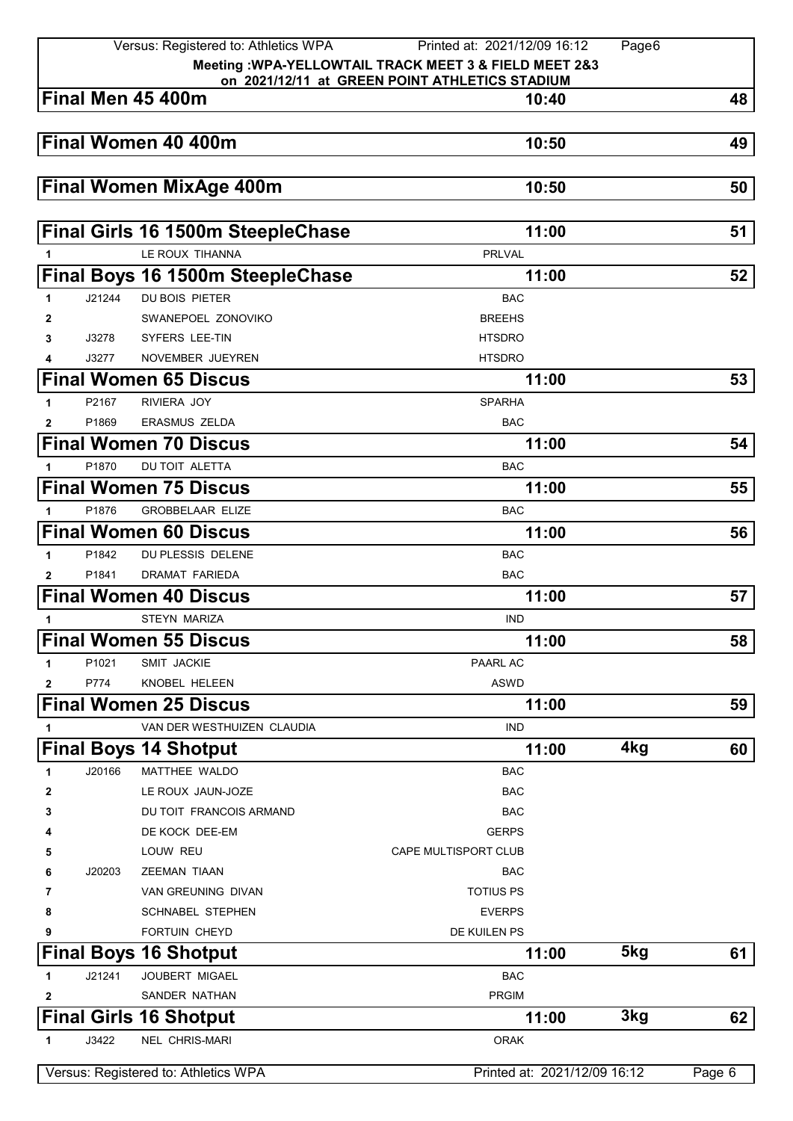|              |        | Versus: Registered to: Athletics WPA                   | Printed at: 2021/12/09 16:12                            | Page6 |        |
|--------------|--------|--------------------------------------------------------|---------------------------------------------------------|-------|--------|
|              |        |                                                        | Meeting : WPA-YELLOWTAIL TRACK MEET 3 & FIELD MEET 2&3  |       |        |
|              |        | Final Men 45 400m                                      | on 2021/12/11 at GREEN POINT ATHLETICS STADIUM<br>10:40 |       | 48     |
|              |        |                                                        |                                                         |       |        |
|              |        | Final Women 40 400m                                    | 10:50                                                   |       | 49     |
|              |        |                                                        |                                                         |       |        |
|              |        | <b>Final Women MixAge 400m</b>                         | 10:50                                                   |       | 50     |
|              |        | Final Girls 16 1500m SteepleChase                      | 11:00                                                   |       | 51     |
| 1            |        | LE ROUX TIHANNA                                        | <b>PRLVAL</b>                                           |       |        |
|              |        | Final Boys 16 1500m SteepleChase                       | 11:00                                                   |       | 52     |
| 1            | J21244 | <b>DU BOIS PIETER</b>                                  | <b>BAC</b>                                              |       |        |
| 2            |        | SWANEPOEL ZONOVIKO                                     | <b>BREEHS</b>                                           |       |        |
| 3            | J3278  | SYFERS LEE-TIN                                         | <b>HTSDRO</b>                                           |       |        |
| 4            | J3277  | NOVEMBER JUEYREN                                       | <b>HTSDRO</b>                                           |       |        |
|              |        | <b>Final Women 65 Discus</b>                           | 11:00                                                   |       | 53     |
| 1            | P2167  | RIVIERA JOY                                            | <b>SPARHA</b>                                           |       |        |
| $\mathbf{2}$ | P1869  | <b>ERASMUS ZELDA</b>                                   | <b>BAC</b>                                              |       |        |
|              |        | <b>Final Women 70 Discus</b>                           | 11:00                                                   |       | 54     |
| 1            | P1870  | <b>DU TOIT ALETTA</b>                                  | <b>BAC</b>                                              |       |        |
|              |        | <b>Final Women 75 Discus</b>                           | 11:00                                                   |       | 55     |
| 1            | P1876  | <b>GROBBELAAR ELIZE</b>                                | <b>BAC</b>                                              |       |        |
|              |        | <b>Final Women 60 Discus</b>                           | 11:00                                                   |       | 56     |
| 1            | P1842  | DU PLESSIS DELENE                                      | <b>BAC</b>                                              |       |        |
| 2            | P1841  | DRAMAT FARIEDA                                         | <b>BAC</b>                                              |       |        |
|              |        | <b>Final Women 40 Discus</b>                           | 11:00                                                   |       | 57     |
| 1            |        | <b>STEYN MARIZA</b>                                    | <b>IND</b>                                              |       |        |
|              |        | <b>Final Women 55 Discus</b>                           |                                                         |       |        |
|              |        |                                                        | 11:00                                                   |       | 58     |
| 1            | P1021  | SMIT JACKIE                                            | <b>PAARL AC</b>                                         |       |        |
| 2            | P774   | KNOBEL HELEEN                                          | <b>ASWD</b>                                             |       |        |
|              |        | <b>Final Women 25 Discus</b>                           | 11:00                                                   |       | 59     |
| 1            |        | VAN DER WESTHUIZEN CLAUDIA                             | <b>IND</b>                                              |       |        |
|              |        | <b>Final Boys 14 Shotput</b>                           | 11:00                                                   | 4kg   | 60     |
| 1            | J20166 | MATTHEE WALDO                                          | <b>BAC</b>                                              |       |        |
| 2            |        | LE ROUX JAUN-JOZE                                      | <b>BAC</b>                                              |       |        |
| 3            |        | DU TOIT FRANCOIS ARMAND                                | <b>BAC</b>                                              |       |        |
| 4            |        | DE KOCK DEE-EM                                         | <b>GERPS</b>                                            |       |        |
| 5            |        | LOUW REU                                               | CAPE MULTISPORT CLUB                                    |       |        |
| 6<br>7       | J20203 | <b>ZEEMAN TIAAN</b><br>VAN GREUNING DIVAN              | <b>BAC</b><br><b>TOTIUS PS</b>                          |       |        |
| 8            |        | SCHNABEL STEPHEN                                       | <b>EVERPS</b>                                           |       |        |
| 9            |        | FORTUIN CHEYD                                          | DE KUILEN PS                                            |       |        |
|              |        |                                                        |                                                         | 5kg   |        |
|              |        | <b>Final Boys 16 Shotput</b>                           | 11:00                                                   |       | 61     |
| 1            | J21241 | JOUBERT MIGAEL                                         | <b>BAC</b>                                              |       |        |
| 2            |        | SANDER NATHAN                                          | <b>PRGIM</b>                                            | 3kg   |        |
| 1            | J3422  | <b>Final Girls 16 Shotput</b><br><b>NEL CHRIS-MARI</b> | 11:00<br><b>ORAK</b>                                    |       | 62     |
|              |        |                                                        |                                                         |       |        |
|              |        | Versus: Registered to: Athletics WPA                   | Printed at: 2021/12/09 16:12                            |       | Page 6 |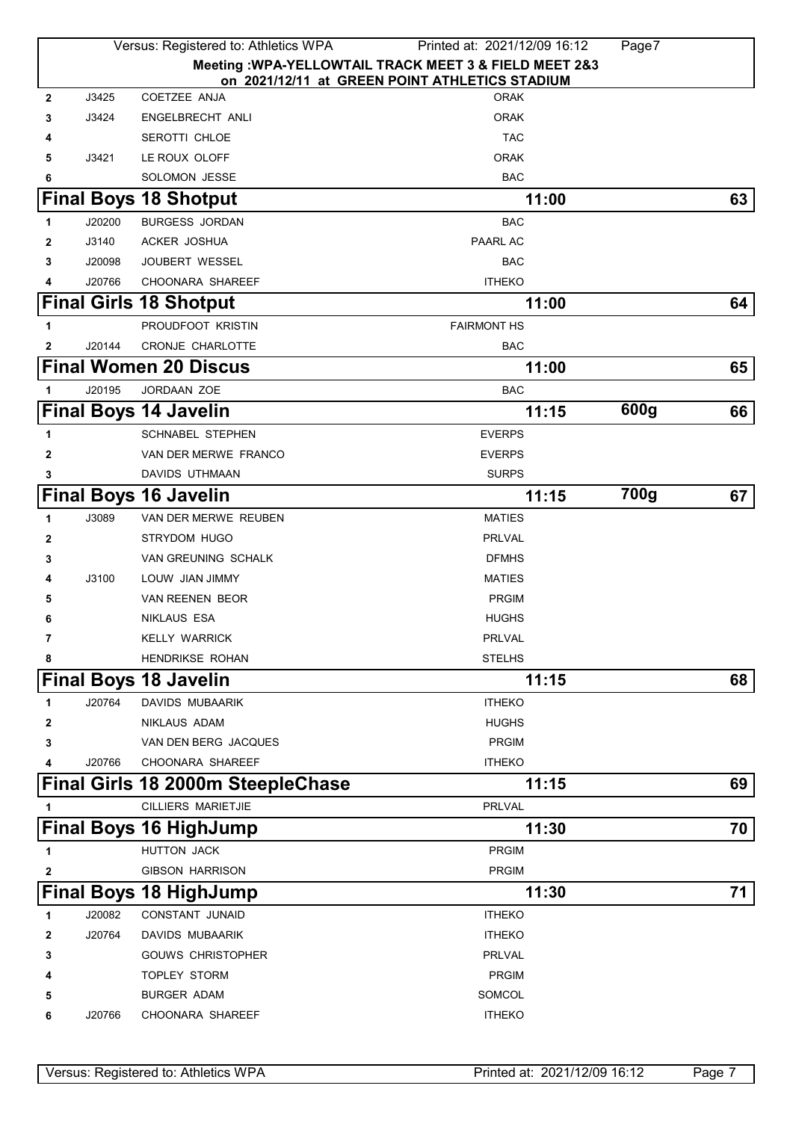|              | Versus: Registered to: Athletics WPA |                                       | Printed at: 2021/12/09 16:12                                  | Page7 |    |
|--------------|--------------------------------------|---------------------------------------|---------------------------------------------------------------|-------|----|
|              |                                      |                                       | Meeting : WPA-YELLOWTAIL TRACK MEET 3 & FIELD MEET 2&3        |       |    |
| $\mathbf{2}$ | J3425                                | COETZEE ANJA                          | on 2021/12/11 at GREEN POINT ATHLETICS STADIUM<br><b>ORAK</b> |       |    |
|              |                                      |                                       | <b>ORAK</b>                                                   |       |    |
| 3            | J3424                                | ENGELBRECHT ANLI                      | <b>TAC</b>                                                    |       |    |
| 4            | J3421                                | <b>SEROTTI CHLOE</b><br>LE ROUX OLOFF | <b>ORAK</b>                                                   |       |    |
| 5<br>6       |                                      | <b>SOLOMON JESSE</b>                  | <b>BAC</b>                                                    |       |    |
|              |                                      | <b>Final Boys 18 Shotput</b>          | 11:00                                                         |       | 63 |
|              |                                      |                                       |                                                               |       |    |
| 1            | J20200                               | <b>BURGESS JORDAN</b>                 | <b>BAC</b>                                                    |       |    |
| 2            | J3140<br>J20098                      | ACKER JOSHUA<br><b>JOUBERT WESSEL</b> | <b>PAARL AC</b><br><b>BAC</b>                                 |       |    |
| 3            | J20766                               | <b>CHOONARA SHAREEF</b>               | <b>ITHEKO</b>                                                 |       |    |
| 4            |                                      |                                       | 11:00                                                         |       | 64 |
|              |                                      | <b>Final Girls 18 Shotput</b>         |                                                               |       |    |
| 1            |                                      | PROUDFOOT KRISTIN                     | <b>FAIRMONT HS</b>                                            |       |    |
| 2            | J20144                               | <b>CRONJE CHARLOTTE</b>               | <b>BAC</b>                                                    |       |    |
|              |                                      | <b>Final Women 20 Discus</b>          | 11:00                                                         |       | 65 |
| 1            | J20195                               | JORDAAN ZOE                           | <b>BAC</b>                                                    |       |    |
|              |                                      | <b>Final Boys 14 Javelin</b>          | 11:15                                                         | 600g  | 66 |
| 1            |                                      | <b>SCHNABEL STEPHEN</b>               | <b>EVERPS</b>                                                 |       |    |
| 2            |                                      | VAN DER MERWE FRANCO                  | <b>EVERPS</b>                                                 |       |    |
| 3            |                                      | DAVIDS UTHMAAN                        | <b>SURPS</b>                                                  |       |    |
|              |                                      | <b>Final Boys 16 Javelin</b>          | 11:15                                                         | 700g  | 67 |
| 1            | J3089                                | VAN DER MERWE REUBEN                  | <b>MATIES</b>                                                 |       |    |
| 2            |                                      | STRYDOM HUGO                          | <b>PRLVAL</b>                                                 |       |    |
| 3            |                                      | <b>VAN GREUNING SCHALK</b>            | <b>DFMHS</b>                                                  |       |    |
| 4            | J3100                                | LOUW JIAN JIMMY                       | <b>MATIES</b>                                                 |       |    |
| 5            |                                      | <b>VAN REENEN BEOR</b>                | <b>PRGIM</b>                                                  |       |    |
| 6            |                                      | <b>NIKLAUS ESA</b>                    | <b>HUGHS</b>                                                  |       |    |
| 7            |                                      | <b>KELLY WARRICK</b>                  | PRLVAL                                                        |       |    |
| 8            |                                      | HENDRIKSE ROHAN                       | <b>STELHS</b>                                                 |       |    |
|              |                                      | <b>Final Boys 18 Javelin</b>          | 11:15                                                         |       | 68 |
| 1            | J20764                               | <b>DAVIDS MUBAARIK</b>                | <b>ITHEKO</b>                                                 |       |    |
| 2            |                                      | <b>NIKLAUS ADAM</b>                   | <b>HUGHS</b>                                                  |       |    |
| 3            |                                      | VAN DEN BERG JACQUES                  | <b>PRGIM</b>                                                  |       |    |
| 4            | J20766                               | <b>CHOONARA SHAREEF</b>               | <b>ITHEKO</b>                                                 |       |    |
|              |                                      | Final Girls 18 2000m SteepleChase     | 11:15                                                         |       | 69 |
| 1            |                                      | <b>CILLIERS MARIETJIE</b>             | <b>PRLVAL</b>                                                 |       |    |
|              |                                      | <b>Final Boys 16 HighJump</b>         | 11:30                                                         |       | 70 |
| 1            |                                      | HUTTON JACK                           | <b>PRGIM</b>                                                  |       |    |
| 2            |                                      | <b>GIBSON HARRISON</b>                | <b>PRGIM</b>                                                  |       |    |
|              |                                      | <b>Final Boys 18 HighJump</b>         | 11:30                                                         |       | 71 |
| 1            | J20082                               | CONSTANT JUNAID                       | <b>ITHEKO</b>                                                 |       |    |
| 2            | J20764                               | DAVIDS MUBAARIK                       | <b>ITHEKO</b>                                                 |       |    |
| 3            |                                      | <b>GOUWS CHRISTOPHER</b>              | PRLVAL                                                        |       |    |
| 4            |                                      | <b>TOPLEY STORM</b>                   | <b>PRGIM</b>                                                  |       |    |
| 5            |                                      | <b>BURGER ADAM</b>                    | SOMCOL                                                        |       |    |
| 6            | J20766                               | CHOONARA SHAREEF                      | <b>ITHEKO</b>                                                 |       |    |
|              |                                      |                                       |                                                               |       |    |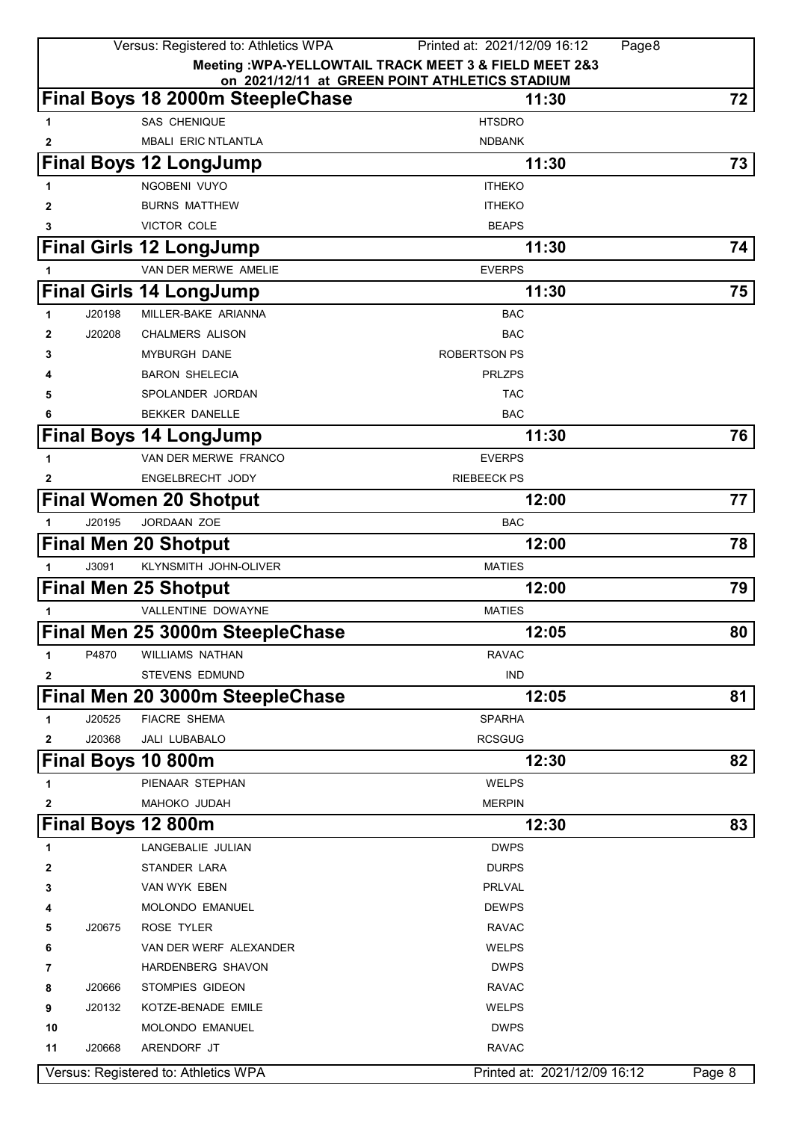|              |        | Versus: Registered to: Athletics WPA | Printed at: 2021/12/09 16:12<br>Page8                  |        |
|--------------|--------|--------------------------------------|--------------------------------------------------------|--------|
|              |        |                                      | Meeting : WPA-YELLOWTAIL TRACK MEET 3 & FIELD MEET 2&3 |        |
|              |        |                                      | on 2021/12/11 at GREEN POINT ATHLETICS STADIUM         |        |
|              |        | Final Boys 18 2000m SteepleChase     | 11:30                                                  | 72     |
| 1            |        | <b>SAS CHENIQUE</b>                  | <b>HTSDRO</b>                                          |        |
| 2            |        | <b>MBALI ERIC NTLANTLA</b>           | <b>NDBANK</b>                                          |        |
|              |        | <b>Final Boys 12 LongJump</b>        | 11:30                                                  | 73     |
| 1            |        | NGOBENI VUYO                         | <b>ITHEKO</b>                                          |        |
| 2            |        | <b>BURNS MATTHEW</b>                 | <b>ITHEKO</b>                                          |        |
| 3            |        | VICTOR COLE                          | <b>BEAPS</b>                                           |        |
|              |        | <b>Final Girls 12 LongJump</b>       | 11:30                                                  | 74     |
|              |        | VAN DER MERWE AMELIE                 | <b>EVERPS</b>                                          |        |
|              |        | <b>Final Girls 14 LongJump</b>       | 11:30                                                  | 75     |
| 1            | J20198 | MILLER-BAKE ARIANNA                  | <b>BAC</b>                                             |        |
| 2            | J20208 | <b>CHALMERS ALISON</b>               | <b>BAC</b>                                             |        |
| 3            |        | <b>MYBURGH DANE</b>                  | ROBERTSON PS                                           |        |
|              |        | <b>BARON SHELECIA</b>                | <b>PRLZPS</b>                                          |        |
| 5            |        | SPOLANDER JORDAN                     | <b>TAC</b>                                             |        |
|              |        | <b>BEKKER DANELLE</b>                | <b>BAC</b>                                             |        |
|              |        | <b>Final Boys 14 LongJump</b>        | 11:30                                                  | 76     |
| $\mathbf{1}$ |        | VAN DER MERWE FRANCO                 | <b>EVERPS</b>                                          |        |
| 2            |        | ENGELBRECHT JODY                     | <b>RIEBEECK PS</b>                                     |        |
|              |        | <b>Final Women 20 Shotput</b>        | 12:00                                                  | 77     |
| 1            | J20195 | JORDAAN ZOE                          | <b>BAC</b>                                             |        |
|              |        | <b>Final Men 20 Shotput</b>          | 12:00                                                  | 78     |
|              |        |                                      |                                                        |        |
| 1            | J3091  | KLYNSMITH JOHN-OLIVER                | <b>MATIES</b>                                          |        |
|              |        | <b>Final Men 25 Shotput</b>          | 12:00                                                  | 79     |
|              |        | VALLENTINE DOWAYNE                   | <b>MATIES</b>                                          |        |
|              |        | Final Men 25 3000m SteepleChase      | 12:05                                                  | 80     |
| 1            | P4870  | <b>WILLIAMS NATHAN</b>               | <b>RAVAC</b>                                           |        |
| 2            |        | <b>STEVENS EDMUND</b>                | <b>IND</b>                                             |        |
|              |        | Final Men 20 3000m SteepleChase      | 12:05                                                  | 81     |
| 1            | J20525 | <b>FIACRE SHEMA</b>                  | <b>SPARHA</b>                                          |        |
| 2            | J20368 | JALI LUBABALO                        | <b>RCSGUG</b>                                          |        |
|              |        | Final Boys 10 800m                   | 12:30                                                  | 82     |
| 1            |        | PIENAAR STEPHAN                      | <b>WELPS</b>                                           |        |
| 2            |        | MAHOKO JUDAH                         | <b>MERPIN</b>                                          |        |
|              |        | Final Boys 12 800m                   | 12:30                                                  | 83     |
| 1            |        | LANGEBALIE JULIAN                    | <b>DWPS</b>                                            |        |
| 2            |        | STANDER LARA                         | <b>DURPS</b>                                           |        |
| 3            |        | VAN WYK EBEN                         | <b>PRLVAL</b>                                          |        |
| 4            |        | MOLONDO EMANUEL                      | <b>DEWPS</b>                                           |        |
| 5            | J20675 | ROSE TYLER                           | <b>RAVAC</b>                                           |        |
| 6            |        | VAN DER WERF ALEXANDER               | <b>WELPS</b>                                           |        |
| 7            |        | HARDENBERG SHAVON                    | <b>DWPS</b>                                            |        |
| 8            | J20666 | STOMPIES GIDEON                      | <b>RAVAC</b>                                           |        |
| 9            | J20132 | KOTZE-BENADE EMILE                   | <b>WELPS</b>                                           |        |
| 10           |        | MOLONDO EMANUEL                      | <b>DWPS</b>                                            |        |
| 11           | J20668 | ARENDORF JT                          | <b>RAVAC</b>                                           |        |
|              |        | Versus: Registered to: Athletics WPA | Printed at: 2021/12/09 16:12                           | Page 8 |
|              |        |                                      |                                                        |        |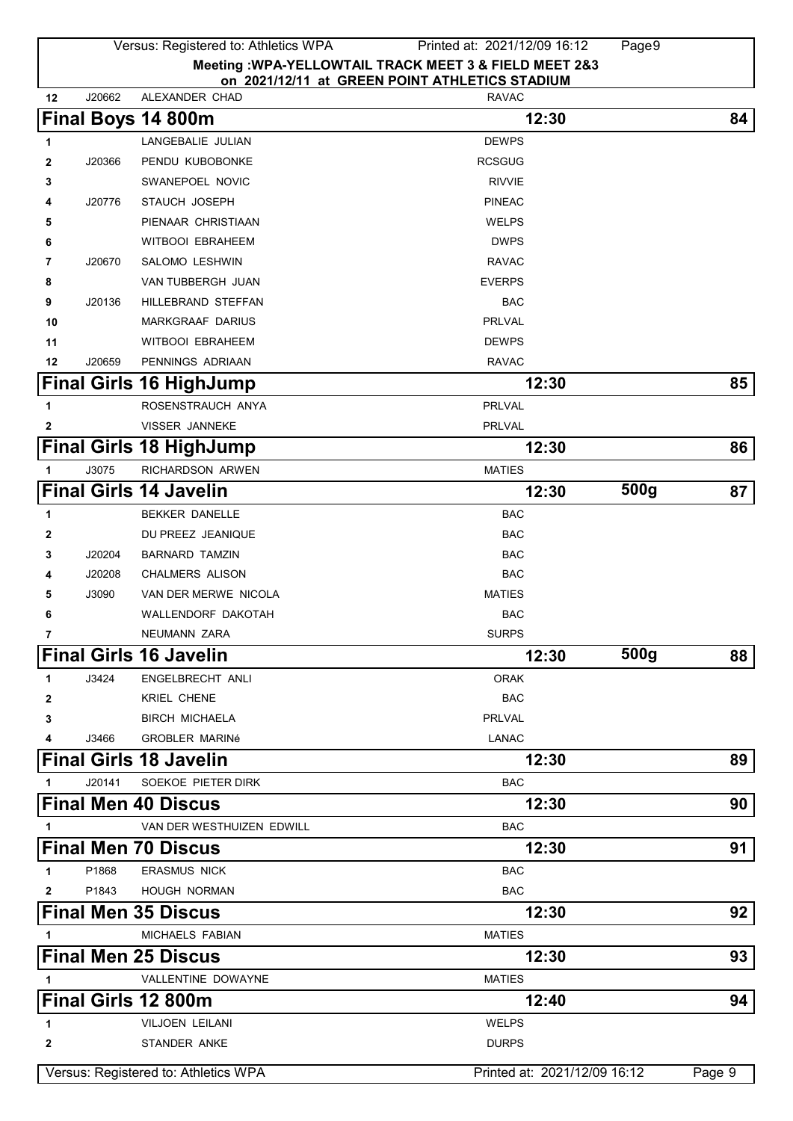|              |        | Versus: Registered to: Athletics WPA | Printed at: 2021/12/09 16:12                           | Page9 |        |
|--------------|--------|--------------------------------------|--------------------------------------------------------|-------|--------|
|              |        |                                      | Meeting : WPA-YELLOWTAIL TRACK MEET 3 & FIELD MEET 2&3 |       |        |
|              |        |                                      | on 2021/12/11 at GREEN POINT ATHLETICS STADIUM         |       |        |
| 12           | J20662 | ALEXANDER CHAD                       | <b>RAVAC</b>                                           |       |        |
|              |        | Final Boys 14 800m                   | 12:30                                                  |       | 84     |
| 1            |        | LANGEBALIE JULIAN                    | <b>DEWPS</b>                                           |       |        |
| 2            | J20366 | PENDU KUBOBONKE                      | <b>RCSGUG</b>                                          |       |        |
| 3            |        | SWANEPOEL NOVIC                      | <b>RIVVIE</b>                                          |       |        |
| 4            | J20776 | STAUCH JOSEPH                        | <b>PINEAC</b>                                          |       |        |
| 5            |        | PIENAAR CHRISTIAAN                   | <b>WELPS</b>                                           |       |        |
| 6            |        | <b>WITBOOI EBRAHEEM</b>              | <b>DWPS</b>                                            |       |        |
| 7            | J20670 | SALOMO LESHWIN                       | <b>RAVAC</b>                                           |       |        |
| 8            |        | VAN TUBBERGH JUAN                    | <b>EVERPS</b>                                          |       |        |
| 9            | J20136 | HILLEBRAND STEFFAN                   | <b>BAC</b>                                             |       |        |
| 10           |        | <b>MARKGRAAF DARIUS</b>              | PRLVAL                                                 |       |        |
| 11           |        | <b>WITBOOI EBRAHEEM</b>              | <b>DEWPS</b>                                           |       |        |
| 12           | J20659 | PENNINGS ADRIAAN                     | <b>RAVAC</b>                                           |       |        |
|              |        | <b>Final Girls 16 HighJump</b>       | 12:30                                                  |       | 85     |
| 1            |        | ROSENSTRAUCH ANYA                    | <b>PRLVAL</b>                                          |       |        |
| 2            |        | <b>VISSER JANNEKE</b>                | <b>PRLVAL</b>                                          |       |        |
|              |        | <b>Final Girls 18 HighJump</b>       | 12:30                                                  |       | 86     |
| 1            | J3075  | RICHARDSON ARWEN                     | <b>MATIES</b>                                          |       |        |
|              |        | <b>Final Girls 14 Javelin</b>        | 12:30                                                  | 500g  | 87     |
| 1            |        | <b>BEKKER DANELLE</b>                | <b>BAC</b>                                             |       |        |
| 2            |        | DU PREEZ JEANIQUE                    | <b>BAC</b>                                             |       |        |
| 3            | J20204 | <b>BARNARD TAMZIN</b>                | <b>BAC</b>                                             |       |        |
| 4            | J20208 | <b>CHALMERS ALISON</b>               | <b>BAC</b>                                             |       |        |
|              |        |                                      |                                                        |       |        |
| 5            | J3090  | VAN DER MERWE NICOLA                 | <b>MATIES</b>                                          |       |        |
| 6            |        | WALLENDORF DAKOTAH                   | <b>BAC</b>                                             |       |        |
|              |        | NEUMANN ZARA                         | <b>SURPS</b>                                           |       |        |
|              |        | <b>Final Girls 16 Javelin</b>        | 12:30                                                  | 500g  | 88     |
| 1            | J3424  | ENGELBRECHT ANLI                     | <b>ORAK</b>                                            |       |        |
| 2            |        | KRIEL CHENE                          | <b>BAC</b>                                             |       |        |
| 3            |        | <b>BIRCH MICHAELA</b>                | <b>PRLVAL</b>                                          |       |        |
| 4            | J3466  | <b>GROBLER MARINé</b>                | <b>LANAC</b>                                           |       |        |
|              |        | <b>Final Girls 18 Javelin</b>        | 12:30                                                  |       | 89     |
| 1            | J20141 | SOEKOE PIETER DIRK                   | BAC                                                    |       |        |
|              |        | <b>Final Men 40 Discus</b>           | 12:30                                                  |       | 90     |
| 1            |        | VAN DER WESTHUIZEN EDWILL            | <b>BAC</b>                                             |       |        |
|              |        | <b>Final Men 70 Discus</b>           | 12:30                                                  |       | 91     |
| 1            | P1868  | <b>ERASMUS NICK</b>                  | <b>BAC</b>                                             |       |        |
| $\mathbf{2}$ | P1843  | <b>HOUGH NORMAN</b>                  | <b>BAC</b>                                             |       |        |
|              |        | <b>Final Men 35 Discus</b>           | 12:30                                                  |       | 92     |
|              |        |                                      |                                                        |       |        |
| 1            |        | MICHAELS FABIAN                      | <b>MATIES</b>                                          |       |        |
|              |        | <b>Final Men 25 Discus</b>           | 12:30                                                  |       | 93     |
| 1            |        | VALLENTINE DOWAYNE                   | <b>MATIES</b>                                          |       |        |
|              |        | Final Girls 12 800m                  | 12:40                                                  |       | 94     |
| 1            |        | VILJOEN LEILANI                      | <b>WELPS</b>                                           |       |        |
| 2            |        | STANDER ANKE                         | <b>DURPS</b>                                           |       |        |
|              |        | Versus: Registered to: Athletics WPA | Printed at: 2021/12/09 16:12                           |       | Page 9 |
|              |        |                                      |                                                        |       |        |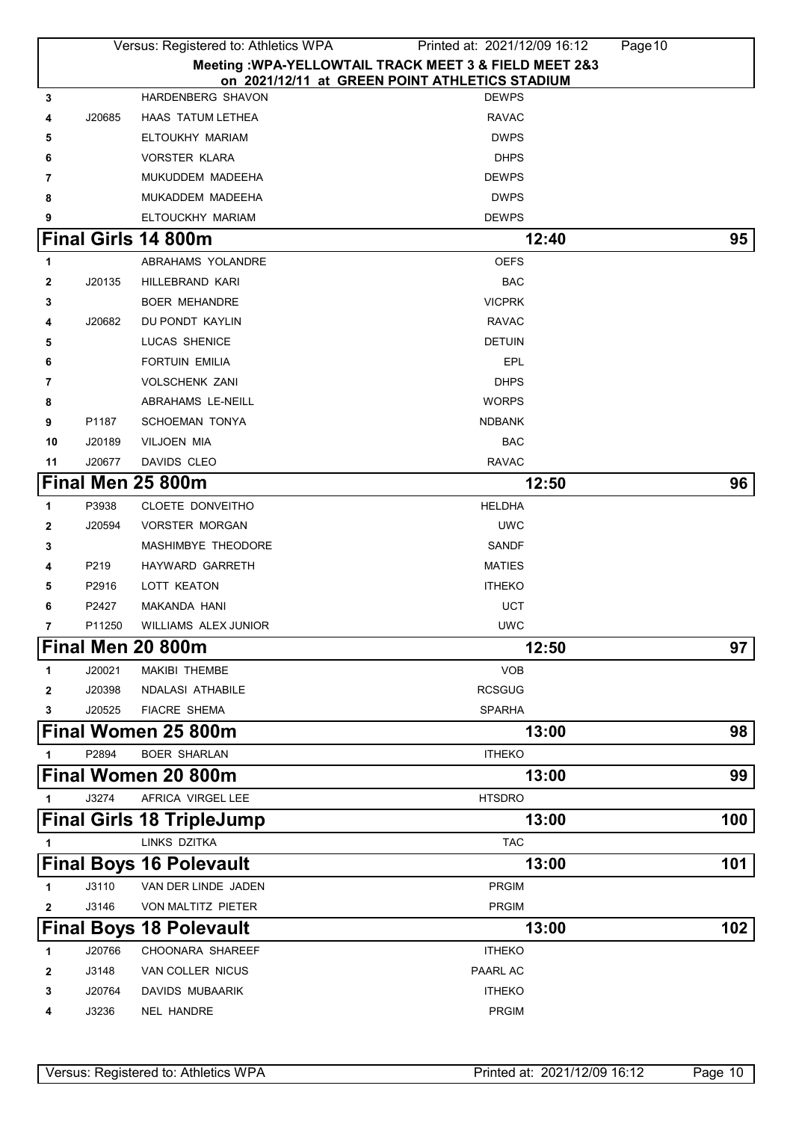|              |        | Versus: Registered to: Athletics WPA | Printed at: 2021/12/09 16:12                                                                             | Page 10 |
|--------------|--------|--------------------------------------|----------------------------------------------------------------------------------------------------------|---------|
|              |        |                                      | Meeting : WPA-YELLOWTAIL TRACK MEET 3 & FIELD MEET 2&3<br>on 2021/12/11 at GREEN POINT ATHLETICS STADIUM |         |
| 3            |        | HARDENBERG SHAVON                    | <b>DEWPS</b>                                                                                             |         |
| 4            | J20685 | <b>HAAS TATUM LETHEA</b>             | <b>RAVAC</b>                                                                                             |         |
| 5            |        | ELTOUKHY MARIAM                      | <b>DWPS</b>                                                                                              |         |
| 6            |        | <b>VORSTER KLARA</b>                 | <b>DHPS</b>                                                                                              |         |
| 7            |        | MUKUDDEM MADEEHA                     | <b>DEWPS</b>                                                                                             |         |
| 8            |        | MUKADDEM MADEEHA                     | <b>DWPS</b>                                                                                              |         |
| 9            |        | ELTOUCKHY MARIAM                     | <b>DEWPS</b>                                                                                             |         |
|              |        | Final Girls 14 800m                  | 12:40                                                                                                    | 95      |
| 1            |        | ABRAHAMS YOLANDRE                    | <b>OEFS</b>                                                                                              |         |
| $\mathbf{2}$ | J20135 | HILLEBRAND KARI                      | BAC                                                                                                      |         |
| 3            |        | <b>BOER MEHANDRE</b>                 | <b>VICPRK</b>                                                                                            |         |
| 4            | J20682 | DU PONDT KAYLIN                      | <b>RAVAC</b>                                                                                             |         |
| 5            |        | <b>LUCAS SHENICE</b>                 | <b>DETUIN</b>                                                                                            |         |
| 6            |        | <b>FORTUIN EMILIA</b>                | EPL                                                                                                      |         |
| 7            |        | <b>VOLSCHENK ZANI</b>                | <b>DHPS</b>                                                                                              |         |
| 8            |        | <b>ABRAHAMS LE-NEILL</b>             | <b>WORPS</b>                                                                                             |         |
| 9            | P1187  | <b>SCHOEMAN TONYA</b>                | <b>NDBANK</b>                                                                                            |         |
| 10           | J20189 | VILJOEN MIA                          | <b>BAC</b>                                                                                               |         |
| 11           | J20677 | DAVIDS CLEO                          | <b>RAVAC</b>                                                                                             |         |
|              |        | Final Men 25 800m                    | 12:50                                                                                                    | 96      |
| 1            | P3938  | CLOETE DONVEITHO                     | <b>HELDHA</b>                                                                                            |         |
| 2            | J20594 | <b>VORSTER MORGAN</b>                | <b>UWC</b>                                                                                               |         |
| 3            |        | MASHIMBYE THEODORE                   | <b>SANDF</b>                                                                                             |         |
| 4            | P219   | HAYWARD GARRETH                      | <b>MATIES</b>                                                                                            |         |
| 5            | P2916  | <b>LOTT KEATON</b>                   | <b>ITHEKO</b>                                                                                            |         |
| 6            | P2427  | MAKANDA HANI                         | <b>UCT</b>                                                                                               |         |
| 7            | P11250 | WILLIAMS ALEX JUNIOR                 | <b>UWC</b>                                                                                               |         |
|              |        | Final Men 20 800m                    | 12:50                                                                                                    | 97      |
| 1            | J20021 | MAKIBI THEMBE                        | <b>VOB</b>                                                                                               |         |
| $\mathbf{2}$ | J20398 | NDALASI ATHABILE                     | <b>RCSGUG</b>                                                                                            |         |
| 3            | J20525 | <b>FIACRE SHEMA</b>                  | <b>SPARHA</b>                                                                                            |         |
|              |        | Final Women 25 800m                  | 13:00                                                                                                    | 98      |
| 1            | P2894  | <b>BOER SHARLAN</b>                  | <b>ITHEKO</b>                                                                                            |         |
|              |        | <b>Final Women 20 800m</b>           | 13:00                                                                                                    | 99      |
| 1            | J3274  | AFRICA VIRGEL LEE                    | <b>HTSDRO</b>                                                                                            |         |
|              |        | <b>Final Girls 18 TripleJump</b>     | 13:00                                                                                                    | 100     |
| 1            |        | LINKS DZITKA                         | <b>TAC</b>                                                                                               |         |
|              |        | <b>Final Boys 16 Polevault</b>       | 13:00                                                                                                    | 101     |
| 1            | J3110  | VAN DER LINDE JADEN                  | <b>PRGIM</b>                                                                                             |         |
| $\mathbf{2}$ | J3146  | VON MALTITZ PIETER                   | <b>PRGIM</b>                                                                                             |         |
|              |        | <b>Final Boys 18 Polevault</b>       | 13:00                                                                                                    | 102     |
| 1            | J20766 | <b>CHOONARA SHAREEF</b>              | <b>ITHEKO</b>                                                                                            |         |
| 2            | J3148  | VAN COLLER NICUS                     | PAARL AC                                                                                                 |         |
| 3            | J20764 | DAVIDS MUBAARIK                      | <b>ITHEKO</b>                                                                                            |         |
| 4            | J3236  | NEL HANDRE                           | <b>PRGIM</b>                                                                                             |         |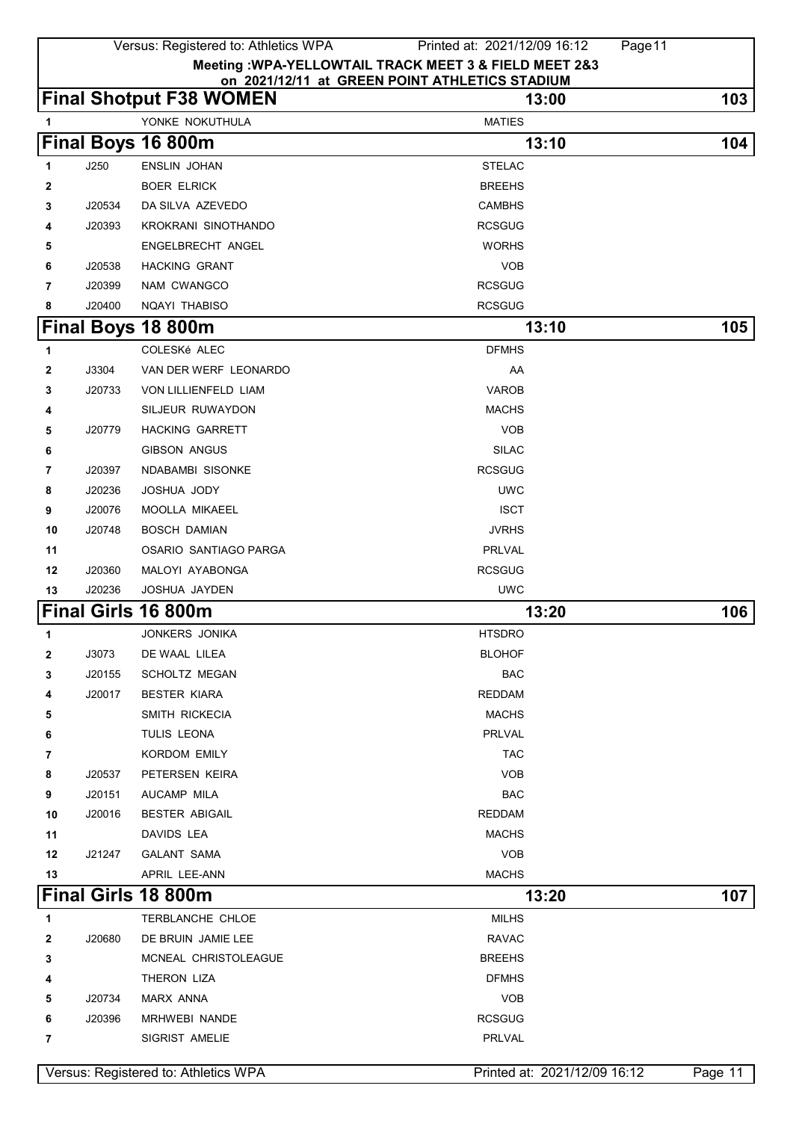|         | Versus: Registered to: Athletics WPA<br>Page 11<br>Printed at: 2021/12/09 16:12 |                                      |                                                |                              |         |  |
|---------|---------------------------------------------------------------------------------|--------------------------------------|------------------------------------------------|------------------------------|---------|--|
|         | Meeting : WPA-YELLOWTAIL TRACK MEET 3 & FIELD MEET 2&3                          |                                      |                                                |                              |         |  |
|         |                                                                                 |                                      | on 2021/12/11 at GREEN POINT ATHLETICS STADIUM |                              |         |  |
|         |                                                                                 | <b>Final Shotput F38 WOMEN</b>       |                                                | 13:00                        | 103     |  |
| 1       |                                                                                 | YONKE NOKUTHULA                      | <b>MATIES</b>                                  |                              |         |  |
|         |                                                                                 | Final Boys 16 800m                   |                                                | 13:10                        | 104     |  |
| 1       | J250                                                                            | <b>ENSLIN JOHAN</b>                  | <b>STELAC</b>                                  |                              |         |  |
| 2       |                                                                                 | <b>BOER ELRICK</b>                   | <b>BREEHS</b>                                  |                              |         |  |
| 3       | J20534                                                                          | DA SILVA AZEVEDO                     | <b>CAMBHS</b>                                  |                              |         |  |
| 4       | J20393                                                                          | KROKRANI SINOTHANDO                  | <b>RCSGUG</b>                                  |                              |         |  |
| 5       |                                                                                 | ENGELBRECHT ANGEL                    | <b>WORHS</b>                                   |                              |         |  |
| 6       | J20538                                                                          | <b>HACKING GRANT</b>                 | <b>VOB</b>                                     |                              |         |  |
| 7       | J20399                                                                          | NAM CWANGCO                          | <b>RCSGUG</b>                                  |                              |         |  |
| 8       | J20400                                                                          | NQAYI THABISO                        | <b>RCSGUG</b>                                  |                              |         |  |
|         |                                                                                 | Final Boys 18 800m                   |                                                | 13:10                        | 105     |  |
| 1       |                                                                                 | COLESKé ALEC                         | <b>DFMHS</b>                                   |                              |         |  |
| 2       | J3304                                                                           | VAN DER WERF LEONARDO                | AA                                             |                              |         |  |
| 3       | J20733                                                                          | VON LILLIENFELD LIAM                 | <b>VAROB</b>                                   |                              |         |  |
| 4       |                                                                                 | SILJEUR RUWAYDON                     | <b>MACHS</b>                                   |                              |         |  |
| 5       | J20779                                                                          | <b>HACKING GARRETT</b>               | <b>VOB</b>                                     |                              |         |  |
| 6       |                                                                                 | <b>GIBSON ANGUS</b>                  | <b>SILAC</b>                                   |                              |         |  |
| 7       | J20397                                                                          | NDABAMBI SISONKE                     | <b>RCSGUG</b>                                  |                              |         |  |
| 8       | J20236                                                                          | JOSHUA JODY                          | <b>UWC</b>                                     |                              |         |  |
| 9       | J20076                                                                          | MOOLLA MIKAEEL                       | <b>ISCT</b>                                    |                              |         |  |
| 10      | J20748                                                                          | <b>BOSCH DAMIAN</b>                  | JVRHS                                          |                              |         |  |
| 11      |                                                                                 | OSARIO SANTIAGO PARGA                | <b>PRLVAL</b>                                  |                              |         |  |
| 12      | J20360                                                                          | MALOYI AYABONGA                      | <b>RCSGUG</b>                                  |                              |         |  |
| 13      | J20236                                                                          | JOSHUA JAYDEN                        | <b>UWC</b>                                     |                              |         |  |
|         |                                                                                 | Final Girls 16 800m                  |                                                | 13:20                        | 106     |  |
| 1       |                                                                                 | JONKERS JONIKA                       | <b>HTSDRO</b>                                  |                              |         |  |
| 2       | J3073                                                                           | DE WAAL LILEA                        | <b>BLOHOF</b>                                  |                              |         |  |
| 3       | J20155                                                                          | <b>SCHOLTZ MEGAN</b>                 | <b>BAC</b>                                     |                              |         |  |
| 4       | J20017                                                                          | <b>BESTER KIARA</b>                  | <b>REDDAM</b>                                  |                              |         |  |
| 5       |                                                                                 | SMITH RICKECIA                       | <b>MACHS</b>                                   |                              |         |  |
| 6       |                                                                                 | TULIS LEONA                          | PRLVAL                                         |                              |         |  |
| 7       |                                                                                 | <b>KORDOM EMILY</b>                  | <b>TAC</b><br><b>VOB</b>                       |                              |         |  |
| 8       | J20537<br>J20151                                                                | PETERSEN KEIRA<br>AUCAMP MILA        | <b>BAC</b>                                     |                              |         |  |
| 9<br>10 | J20016                                                                          | <b>BESTER ABIGAIL</b>                | <b>REDDAM</b>                                  |                              |         |  |
| 11      |                                                                                 | DAVIDS LEA                           | <b>MACHS</b>                                   |                              |         |  |
| 12      | J21247                                                                          | <b>GALANT SAMA</b>                   | <b>VOB</b>                                     |                              |         |  |
| 13      |                                                                                 | APRIL LEE-ANN                        | <b>MACHS</b>                                   |                              |         |  |
|         |                                                                                 | Final Girls 18 800m                  |                                                | 13:20                        | 107     |  |
|         |                                                                                 |                                      |                                                |                              |         |  |
| 1       |                                                                                 | TERBLANCHE CHLOE                     | <b>MILHS</b>                                   |                              |         |  |
| 2       | J20680                                                                          | DE BRUIN JAMIE LEE                   | <b>RAVAC</b>                                   |                              |         |  |
| 3       |                                                                                 | MCNEAL CHRISTOLEAGUE                 | <b>BREEHS</b>                                  |                              |         |  |
| 4       |                                                                                 | THERON LIZA                          | <b>DFMHS</b>                                   |                              |         |  |
| 5       | J20734                                                                          | <b>MARX ANNA</b>                     | <b>VOB</b>                                     |                              |         |  |
| 6       | J20396                                                                          | MRHWEBI NANDE<br>SIGRIST AMELIE      | <b>RCSGUG</b><br>PRLVAL                        |                              |         |  |
| 7       |                                                                                 |                                      |                                                |                              |         |  |
|         |                                                                                 | Versus: Registered to: Athletics WPA |                                                | Printed at: 2021/12/09 16:12 | Page 11 |  |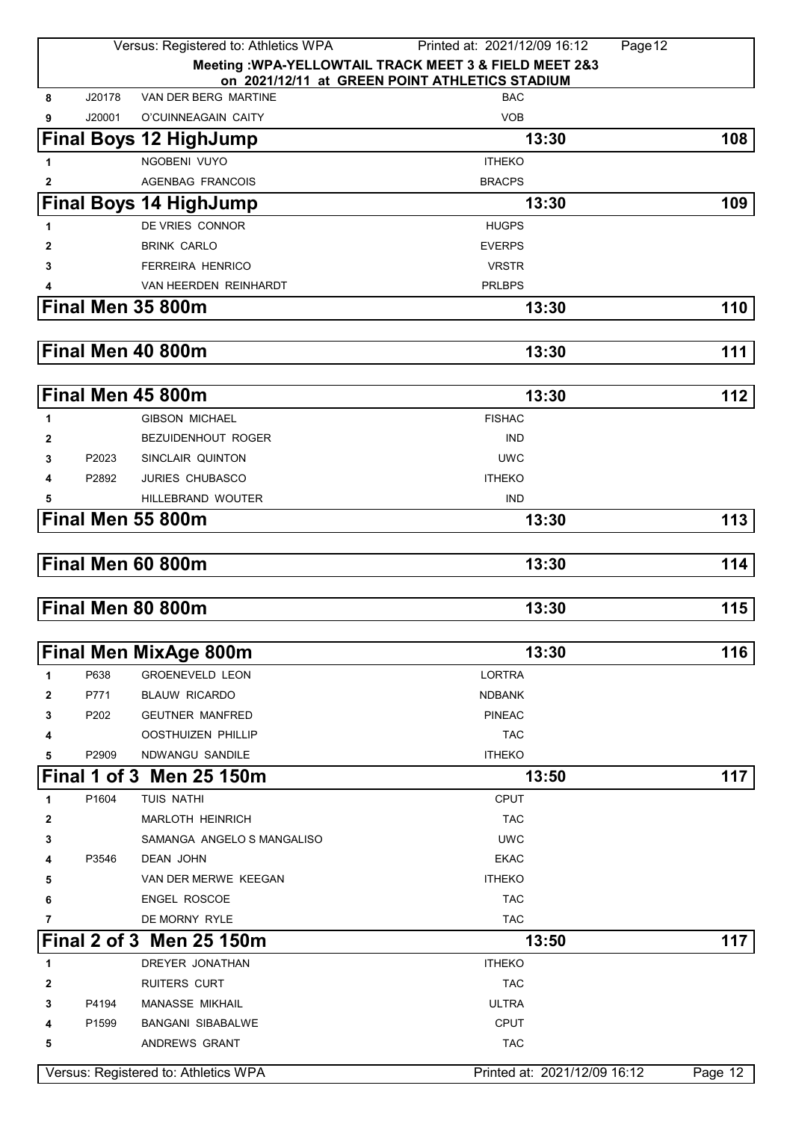|              |        | Versus: Registered to: Athletics WPA | Page 12<br>Printed at: 2021/12/09 16:12                |           |
|--------------|--------|--------------------------------------|--------------------------------------------------------|-----------|
|              |        |                                      | Meeting : WPA-YELLOWTAIL TRACK MEET 3 & FIELD MEET 2&3 |           |
|              |        |                                      | on 2021/12/11 at GREEN POINT ATHLETICS STADIUM         |           |
| 8            | J20178 | VAN DER BERG MARTINE                 | <b>BAC</b>                                             |           |
| 9            | J20001 | O'CUINNEAGAIN CAITY                  | <b>VOB</b>                                             |           |
|              |        | <b>Final Boys 12 HighJump</b>        | 13:30                                                  | 108       |
| 1            |        | NGOBENI VUYO                         | <b>ITHEKO</b>                                          |           |
| $\mathbf{2}$ |        | <b>AGENBAG FRANCOIS</b>              | <b>BRACPS</b>                                          |           |
|              |        | <b>Final Boys 14 HighJump</b>        | 13:30                                                  | 109       |
| 1            |        | DE VRIES CONNOR                      | <b>HUGPS</b>                                           |           |
| 2            |        | <b>BRINK CARLO</b>                   | <b>EVERPS</b>                                          |           |
| 3            |        | <b>FERREIRA HENRICO</b>              | <b>VRSTR</b>                                           |           |
|              |        | VAN HEERDEN REINHARDT                | <b>PRLBPS</b>                                          |           |
|              |        | Final Men 35 800m                    | 13:30                                                  | 110       |
|              |        | Final Men 40 800m                    | 13:30                                                  | 111       |
|              |        |                                      |                                                        |           |
|              |        | Final Men 45 800m                    | 13:30                                                  | 112       |
| 1            |        | <b>GIBSON MICHAEL</b>                | <b>FISHAC</b>                                          |           |
| 2            |        | <b>BEZUIDENHOUT ROGER</b>            | <b>IND</b>                                             |           |
| 3            | P2023  | SINCLAIR QUINTON                     | <b>UWC</b>                                             |           |
| 4            | P2892  | <b>JURIES CHUBASCO</b>               | <b>ITHEKO</b>                                          |           |
| 5            |        | HILLEBRAND WOUTER                    | <b>IND</b>                                             |           |
|              |        | Final Men 55 800m                    | 13:30                                                  | 113       |
|              |        |                                      |                                                        |           |
|              |        | Final Men 60 800m                    | 13:30                                                  | 114       |
|              |        | Final Men 80 800m                    | 13:30                                                  | 115       |
|              |        |                                      |                                                        |           |
|              |        | <b>Final Men MixAge 800m</b>         | 13:30                                                  | 116       |
| 1            | P638   | <b>GROENEVELD LEON</b>               | <b>LORTRA</b>                                          |           |
| 2            | P771   | <b>BLAUW RICARDO</b>                 | <b>NDBANK</b>                                          |           |
| 3            | P202   | <b>GEUTNER MANFRED</b>               | <b>PINEAC</b>                                          |           |
| 4            |        | <b>OOSTHUIZEN PHILLIP</b>            | <b>TAC</b>                                             |           |
| 5            | P2909  | NDWANGU SANDILE                      | <b>ITHEKO</b>                                          |           |
|              |        | Final 1 of 3 Men 25 150m             | 13:50                                                  | 117       |
| 1            | P1604  | TUIS NATHI                           | <b>CPUT</b>                                            |           |
| 2            |        | <b>MARLOTH HEINRICH</b>              | <b>TAC</b>                                             |           |
| 3            |        | SAMANGA ANGELO S MANGALISO           | <b>UWC</b>                                             |           |
| 4            | P3546  | <b>DEAN JOHN</b>                     | <b>EKAC</b>                                            |           |
| 5            |        | VAN DER MERWE KEEGAN                 | <b>ITHEKO</b>                                          |           |
| 6            |        | <b>ENGEL ROSCOE</b>                  | <b>TAC</b>                                             |           |
| 7            |        | DE MORNY RYLE                        | <b>TAC</b>                                             |           |
|              |        | Final 2 of 3 Men 25 150m             | 13:50                                                  | 117       |
| 1            |        | DREYER JONATHAN                      | <b>ITHEKO</b>                                          |           |
| 2            |        | <b>RUITERS CURT</b>                  | <b>TAC</b>                                             |           |
| 3            | P4194  | <b>MANASSE MIKHAIL</b>               | <b>ULTRA</b>                                           |           |
| 4            | P1599  | <b>BANGANI SIBABALWE</b>             | <b>CPUT</b>                                            |           |
| 5            |        | ANDREWS GRANT                        | <b>TAC</b>                                             |           |
|              |        | Versus: Registered to: Athletics WPA | Printed at: 2021/12/09 16:12                           | Page $12$ |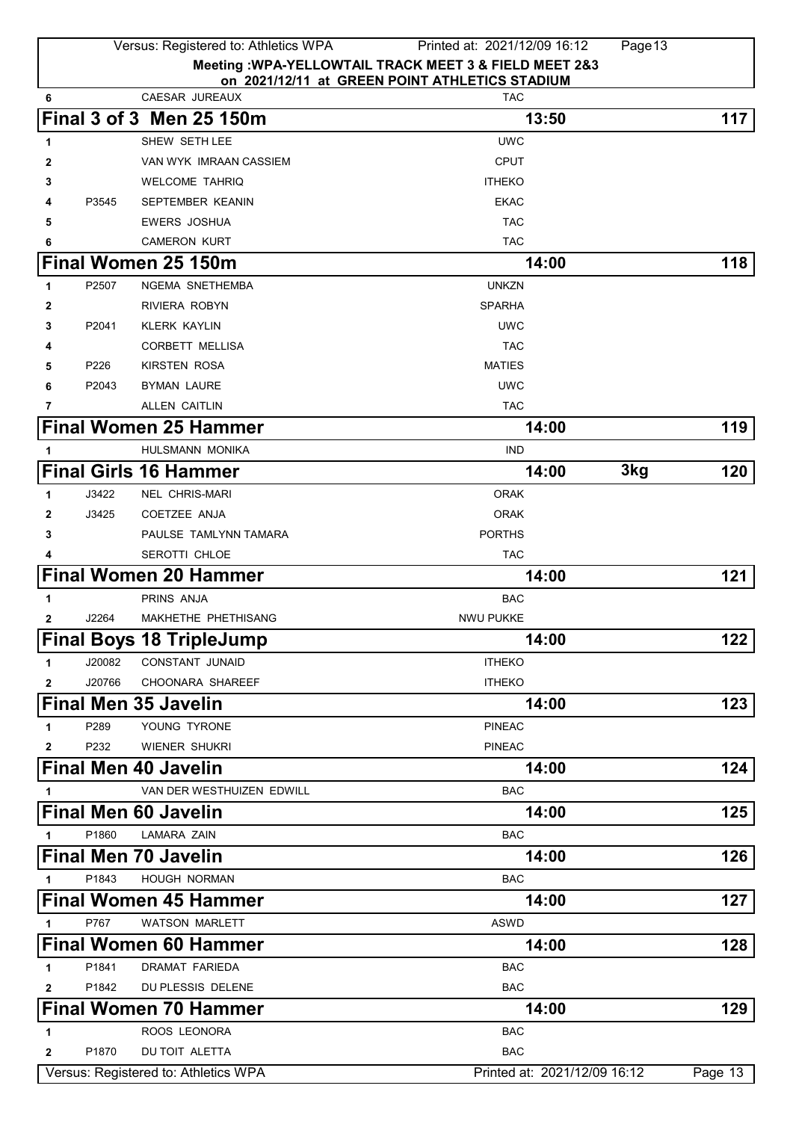|              |        | Versus: Registered to: Athletics WPA    | Printed at: 2021/12/09 16:12                                 | Page 13 |         |
|--------------|--------|-----------------------------------------|--------------------------------------------------------------|---------|---------|
|              |        |                                         | Meeting : WPA-YELLOWTAIL TRACK MEET 3 & FIELD MEET 2&3       |         |         |
| 6            |        | CAESAR JUREAUX                          | on 2021/12/11 at GREEN POINT ATHLETICS STADIUM<br><b>TAC</b> |         |         |
|              |        | Final 3 of 3 Men 25 150m                | 13:50                                                        |         | 117     |
|              |        |                                         |                                                              |         |         |
| 1            |        | SHEW SETH LEE<br>VAN WYK IMRAAN CASSIEM | <b>UWC</b><br><b>CPUT</b>                                    |         |         |
| 2<br>3       |        | <b>WELCOME TAHRIQ</b>                   | <b>ITHEKO</b>                                                |         |         |
| 4            | P3545  | SEPTEMBER KEANIN                        | <b>EKAC</b>                                                  |         |         |
| 5            |        | <b>EWERS JOSHUA</b>                     | <b>TAC</b>                                                   |         |         |
| 6            |        | <b>CAMERON KURT</b>                     | <b>TAC</b>                                                   |         |         |
|              |        | Final Women 25 150m                     | 14:00                                                        |         | 118     |
| 1            | P2507  | NGEMA SNETHEMBA                         | <b>UNKZN</b>                                                 |         |         |
| 2            |        | RIVIERA ROBYN                           | <b>SPARHA</b>                                                |         |         |
| 3            | P2041  | <b>KLERK KAYLIN</b>                     | <b>UWC</b>                                                   |         |         |
| 4            |        | <b>CORBETT MELLISA</b>                  | <b>TAC</b>                                                   |         |         |
| 5            | P226   | KIRSTEN ROSA                            | <b>MATIES</b>                                                |         |         |
| 6            | P2043  | <b>BYMAN LAURE</b>                      | <b>UWC</b>                                                   |         |         |
| 7            |        | ALLEN CAITLIN                           | <b>TAC</b>                                                   |         |         |
|              |        | <b>Final Women 25 Hammer</b>            | 14:00                                                        |         | 119     |
| 1            |        | HULSMANN MONIKA                         | <b>IND</b>                                                   |         |         |
|              |        | <b>Final Girls 16 Hammer</b>            | 14:00                                                        | 3kg     | 120     |
| 1            | J3422  | <b>NEL CHRIS-MARI</b>                   | <b>ORAK</b>                                                  |         |         |
| 2            | J3425  | COETZEE ANJA                            | <b>ORAK</b>                                                  |         |         |
| 3            |        | PAULSE TAMLYNN TAMARA                   | <b>PORTHS</b>                                                |         |         |
| 4            |        | <b>SEROTTI CHLOE</b>                    | <b>TAC</b>                                                   |         |         |
|              |        | <b>Final Women 20 Hammer</b>            | 14:00                                                        |         | 121     |
| 1            |        | PRINS ANJA                              | <b>BAC</b>                                                   |         |         |
| 2            | J2264  | <b>MAKHETHE PHETHISANG</b>              | NWU PUKKE                                                    |         |         |
|              |        | <b>Final Boys 18 TripleJump</b>         | 14:00                                                        |         | 122     |
| 1            | J20082 | <b>CONSTANT JUNAID</b>                  | <b>ITHEKO</b>                                                |         |         |
| $\mathbf{2}$ | J20766 | CHOONARA SHAREEF                        | <b>ITHEKO</b>                                                |         |         |
|              |        | <b>Final Men 35 Javelin</b>             | 14:00                                                        |         | 123     |
| 1            | P289   | YOUNG TYRONE                            | <b>PINEAC</b>                                                |         |         |
| 2            | P232   | WIENER SHUKRI                           | <b>PINEAC</b>                                                |         |         |
|              |        | <b>Final Men 40 Javelin</b>             | 14:00                                                        |         | 124     |
| 1            |        | VAN DER WESTHUIZEN EDWILL               | <b>BAC</b>                                                   |         |         |
|              |        | <b>Final Men 60 Javelin</b>             | 14:00                                                        |         | 125     |
| 1            | P1860  | <b>LAMARA ZAIN</b>                      | <b>BAC</b>                                                   |         |         |
|              |        | <b>Final Men 70 Javelin</b>             | 14:00                                                        |         | 126     |
| 1            | P1843  | HOUGH NORMAN                            | <b>BAC</b>                                                   |         |         |
|              |        | <b>Final Women 45 Hammer</b>            | 14:00                                                        |         | 127     |
|              | P767   | <b>WATSON MARLETT</b>                   | <b>ASWD</b>                                                  |         |         |
| 1            |        |                                         |                                                              |         |         |
|              |        | <b>Final Women 60 Hammer</b>            | 14:00                                                        |         | 128     |
| 1            | P1841  | <b>DRAMAT FARIEDA</b>                   | <b>BAC</b>                                                   |         |         |
| $\mathbf{2}$ | P1842  | DU PLESSIS DELENE                       | <b>BAC</b>                                                   |         |         |
|              |        | <b>Final Women 70 Hammer</b>            | 14:00                                                        |         | 129     |
| 1            |        | ROOS LEONORA                            | <b>BAC</b>                                                   |         |         |
| $\mathbf{2}$ | P1870  | DU TOIT ALETTA                          | <b>BAC</b>                                                   |         |         |
|              |        | Versus: Registered to: Athletics WPA    | Printed at: 2021/12/09 16:12                                 |         | Page 13 |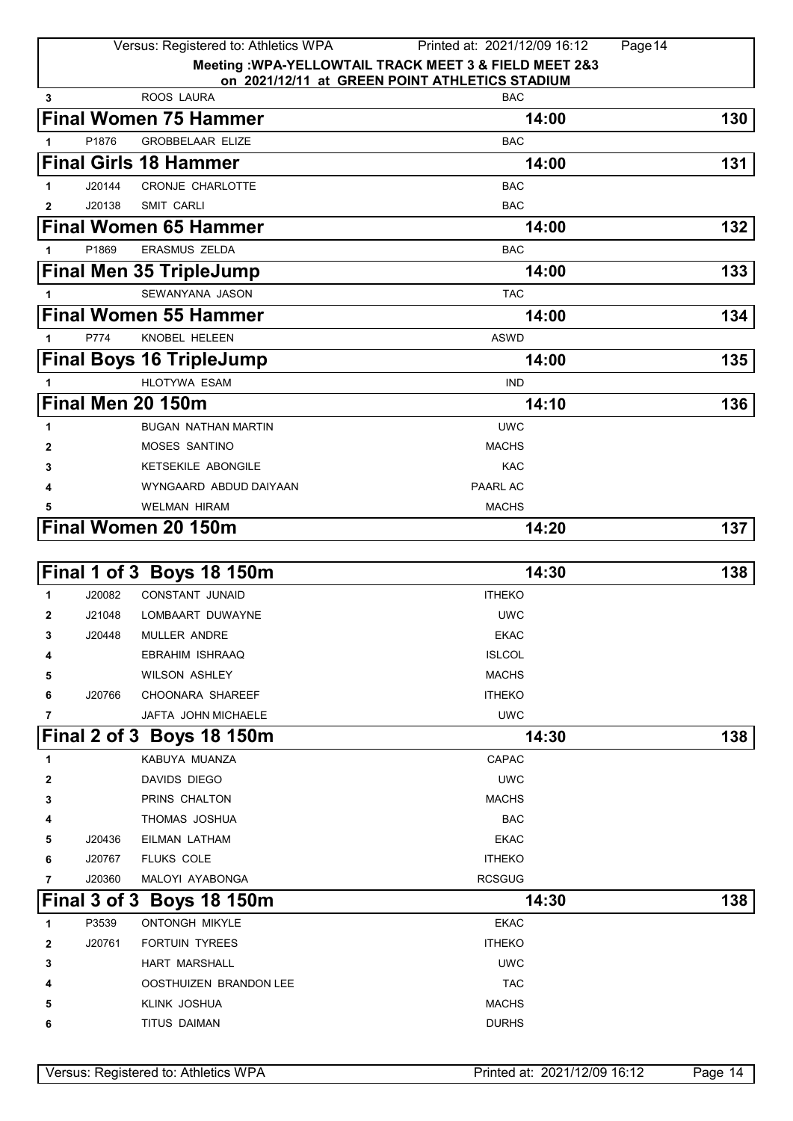|              |        | Versus: Registered to: Athletics WPA         | Printed at: 2021/12/09 16:12                           | Page 14 |
|--------------|--------|----------------------------------------------|--------------------------------------------------------|---------|
|              |        |                                              | Meeting : WPA-YELLOWTAIL TRACK MEET 3 & FIELD MEET 2&3 |         |
|              |        | ROOS LAURA                                   | on 2021/12/11 at GREEN POINT ATHLETICS STADIUM         |         |
| 3            |        |                                              | <b>BAC</b>                                             |         |
|              |        | <b>Final Women 75 Hammer</b>                 | 14:00                                                  | 130     |
|              | P1876  | <b>GROBBELAAR ELIZE</b>                      | <b>BAC</b>                                             |         |
|              |        | <b>Final Girls 18 Hammer</b>                 | 14:00                                                  | 131     |
| $\mathbf{1}$ | J20144 | <b>CRONJE CHARLOTTE</b>                      | <b>BAC</b>                                             |         |
| 2            | J20138 | <b>SMIT CARLI</b>                            | <b>BAC</b>                                             |         |
|              |        | <b>Final Women 65 Hammer</b>                 | 14:00                                                  | 132     |
| $\mathbf{1}$ | P1869  | ERASMUS ZELDA                                | <b>BAC</b>                                             |         |
|              |        | <b>Final Men 35 TripleJump</b>               | 14:00                                                  | 133     |
| 1            |        | SEWANYANA JASON                              | <b>TAC</b>                                             |         |
|              |        | <b>Final Women 55 Hammer</b>                 | 14:00                                                  | 134     |
| 1            | P774   | KNOBEL HELEEN                                | <b>ASWD</b>                                            |         |
|              |        | <b>Final Boys 16 TripleJump</b>              | 14:00                                                  | 135     |
| 1            |        | <b>HLOTYWA ESAM</b>                          | <b>IND</b>                                             |         |
|              |        | Final Men 20 150m                            | 14:10                                                  | 136     |
|              |        |                                              |                                                        |         |
| 1            |        | <b>BUGAN NATHAN MARTIN</b>                   | <b>UWC</b>                                             |         |
| 2            |        | MOSES SANTINO                                | <b>MACHS</b><br><b>KAC</b>                             |         |
| 3            |        | KETSEKILE ABONGILE<br>WYNGAARD ABDUD DAIYAAN | PAARL AC                                               |         |
| 4<br>5       |        | <b>WELMAN HIRAM</b>                          | <b>MACHS</b>                                           |         |
|              |        |                                              |                                                        | 137     |
|              |        | <b>Final Women 20 150m</b>                   | 14:20                                                  |         |
|              |        |                                              |                                                        |         |
|              |        | Final 1 of 3 Boys 18 150m                    | 14:30                                                  | 138     |
| 1            | J20082 | <b>CONSTANT JUNAID</b>                       | <b>ITHEKO</b>                                          |         |
| 2            | J21048 | LOMBAART DUWAYNE                             | <b>UWC</b>                                             |         |
| З            | J20448 | MULLER ANDRE                                 | <b>EKAC</b>                                            |         |
| 4            |        | <b>EBRAHIM ISHRAAQ</b>                       | <b>ISLCOL</b>                                          |         |
| 5            |        | <b>WILSON ASHLEY</b>                         | <b>MACHS</b>                                           |         |
| 6            | J20766 | CHOONARA SHAREEF                             | <b>ITHEKO</b>                                          |         |
| 7            |        | JAFTA JOHN MICHAELE                          | <b>UWC</b>                                             |         |
|              |        | Final 2 of 3 Boys 18 150m                    | 14:30                                                  | 138     |
| 1            |        | KABUYA MUANZA                                | CAPAC                                                  |         |
| 2            |        | DAVIDS DIEGO                                 | <b>UWC</b>                                             |         |
| 3            |        | PRINS CHALTON                                | <b>MACHS</b>                                           |         |
|              |        | THOMAS JOSHUA                                | <b>BAC</b>                                             |         |
| 5            | J20436 | EILMAN LATHAM                                | <b>EKAC</b>                                            |         |
| 6            | J20767 | <b>FLUKS COLE</b>                            | <b>ITHEKO</b>                                          |         |
| 7            | J20360 | MALOYI AYABONGA                              | <b>RCSGUG</b>                                          |         |
|              |        | Final 3 of 3 Boys 18 150m                    | 14:30                                                  | 138     |
| 1            | P3539  | <b>ONTONGH MIKYLE</b>                        | <b>EKAC</b>                                            |         |
| 2            | J20761 | <b>FORTUIN TYREES</b>                        | <b>ITHEKO</b>                                          |         |
| 3            |        | <b>HART MARSHALL</b>                         | <b>UWC</b>                                             |         |
|              |        | OOSTHUIZEN BRANDON LEE                       | <b>TAC</b>                                             |         |
| 5            |        | KLINK JOSHUA                                 | <b>MACHS</b>                                           |         |
|              |        |                                              |                                                        |         |
| 6            |        | TITUS DAIMAN                                 | <b>DURHS</b>                                           |         |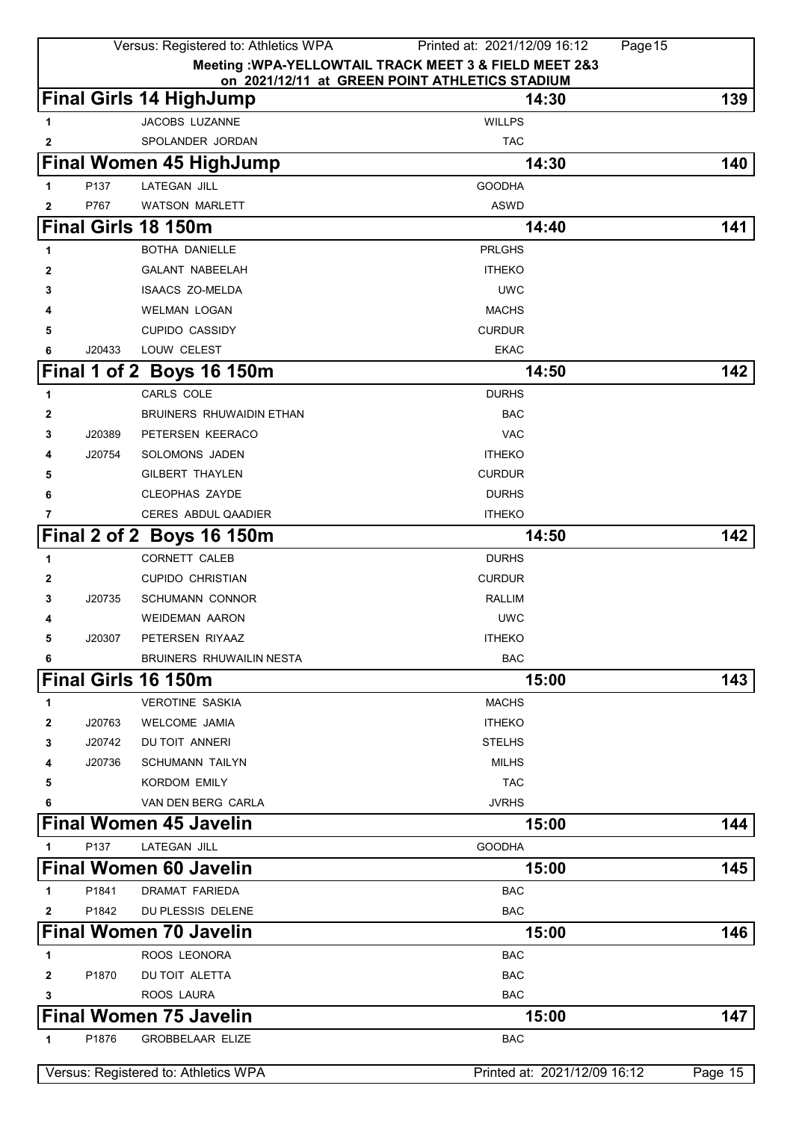|   |        | Versus: Registered to: Athletics WPA | Printed at: 2021/12/09 16:12<br>Page 15                 |         |
|---|--------|--------------------------------------|---------------------------------------------------------|---------|
|   |        |                                      | Meeting : WPA-YELLOWTAIL TRACK MEET 3 & FIELD MEET 2&3  |         |
|   |        | <b>Final Girls 14 HighJump</b>       | on 2021/12/11 at GREEN POINT ATHLETICS STADIUM<br>14:30 | 139     |
| 1 |        | <b>JACOBS LUZANNE</b>                | <b>WILLPS</b>                                           |         |
| 2 |        | SPOLANDER JORDAN                     | <b>TAC</b>                                              |         |
|   |        | <b>Final Women 45 HighJump</b>       | 14:30                                                   | 140     |
| 1 | P137   | <b>LATEGAN JILL</b>                  | <b>GOODHA</b>                                           |         |
| 2 | P767   | <b>WATSON MARLETT</b>                | ASWD                                                    |         |
|   |        | Final Girls 18 150m                  | 14:40                                                   | 141     |
| 1 |        | <b>BOTHA DANIELLE</b>                | <b>PRLGHS</b>                                           |         |
| 2 |        | <b>GALANT NABEELAH</b>               | <b>ITHEKO</b>                                           |         |
| 3 |        | <b>ISAACS ZO-MELDA</b>               | <b>UWC</b>                                              |         |
| 4 |        | <b>WELMAN LOGAN</b>                  | <b>MACHS</b>                                            |         |
| 5 |        | <b>CUPIDO CASSIDY</b>                | <b>CURDUR</b>                                           |         |
| 6 | J20433 | LOUW CELEST                          | <b>EKAC</b>                                             |         |
|   |        | Final 1 of 2 Boys 16 150m            | 14:50                                                   | 142     |
|   |        |                                      |                                                         |         |
| 1 |        | CARLS COLE                           | <b>DURHS</b>                                            |         |
| 2 |        | <b>BRUINERS RHUWAIDIN ETHAN</b>      | <b>BAC</b>                                              |         |
| 3 | J20389 | PETERSEN KEERACO                     | <b>VAC</b>                                              |         |
| 4 | J20754 | SOLOMONS JADEN                       | <b>ITHEKO</b>                                           |         |
| 5 |        | GILBERT THAYLEN                      | <b>CURDUR</b>                                           |         |
| 6 |        | <b>CLEOPHAS ZAYDE</b>                | <b>DURHS</b>                                            |         |
|   |        | <b>CERES ABDUL QAADIER</b>           | <b>ITHEKO</b>                                           |         |
|   |        | Final 2 of 2 Boys 16 150m            | 14:50                                                   | 142     |
| 1 |        | <b>CORNETT CALEB</b>                 | <b>DURHS</b>                                            |         |
| 2 |        | <b>CUPIDO CHRISTIAN</b>              | <b>CURDUR</b>                                           |         |
| 3 | J20735 | <b>SCHUMANN CONNOR</b>               | <b>RALLIM</b>                                           |         |
| 4 |        | <b>WEIDEMAN AARON</b>                | <b>UWC</b>                                              |         |
| 5 | J20307 | PETERSEN RIYAAZ                      | <b>ITHEKO</b>                                           |         |
| 6 |        | <b>BRUINERS RHUWAILIN NESTA</b>      | <b>BAC</b>                                              |         |
|   |        | Final Girls 16 150m                  | 15:00                                                   | 143     |
| 1 |        | <b>VEROTINE SASKIA</b>               | <b>MACHS</b>                                            |         |
| 2 | J20763 | <b>WELCOME JAMIA</b>                 | <b>ITHEKO</b>                                           |         |
| 3 | J20742 | DU TOIT ANNERI                       | <b>STELHS</b>                                           |         |
| 4 | J20736 | <b>SCHUMANN TAILYN</b>               | <b>MILHS</b>                                            |         |
| 5 |        | <b>KORDOM EMILY</b>                  | <b>TAC</b>                                              |         |
| 6 |        | VAN DEN BERG CARLA                   | <b>JVRHS</b>                                            |         |
|   |        | <b>Final Women 45 Javelin</b>        | 15:00                                                   | 144     |
| 1 | P137   | <b>LATEGAN JILL</b>                  | <b>GOODHA</b>                                           |         |
|   |        | <b>Final Women 60 Javelin</b>        | 15:00                                                   | 145     |
| 1 | P1841  | <b>DRAMAT FARIEDA</b>                | <b>BAC</b>                                              |         |
| 2 | P1842  | DU PLESSIS DELENE                    | <b>BAC</b>                                              |         |
|   |        | <b>Final Women 70 Javelin</b>        | 15:00                                                   | 146     |
| 1 |        | ROOS LEONORA                         | <b>BAC</b>                                              |         |
| 2 | P1870  | DU TOIT ALETTA                       | <b>BAC</b>                                              |         |
| 3 |        | ROOS LAURA                           | <b>BAC</b>                                              |         |
|   |        | <b>Final Women 75 Javelin</b>        | 15:00                                                   | 147     |
| 1 | P1876  | <b>GROBBELAAR ELIZE</b>              | <b>BAC</b>                                              |         |
|   |        | Versus: Registered to: Athletics WPA | Printed at: 2021/12/09 16:12                            | Page 15 |
|   |        |                                      |                                                         |         |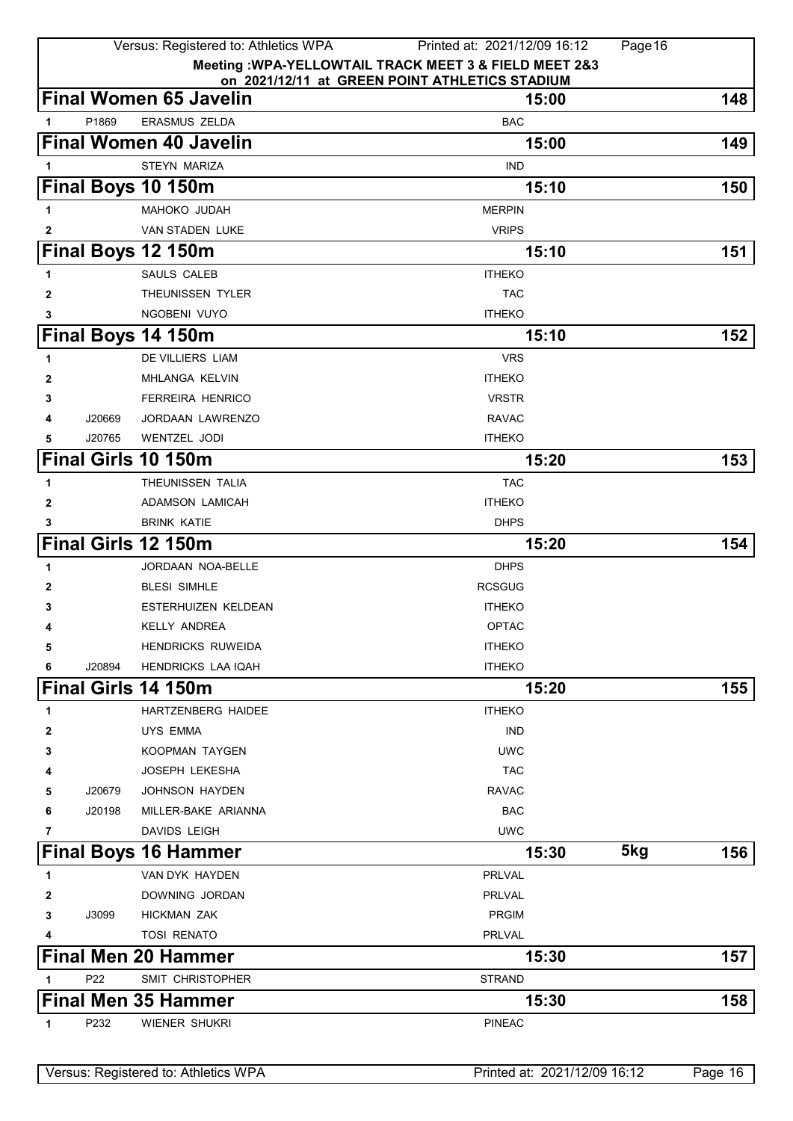|              |                 | Versus: Registered to: Athletics WPA           | Printed at: 2021/12/09 16:12                           |              | Page 16 |
|--------------|-----------------|------------------------------------------------|--------------------------------------------------------|--------------|---------|
|              |                 |                                                | Meeting : WPA-YELLOWTAIL TRACK MEET 3 & FIELD MEET 2&3 |              |         |
|              |                 | <b>Final Women 65 Javelin</b>                  | on 2021/12/11 at GREEN POINT ATHLETICS STADIUM         | 15:00        | 148     |
|              |                 |                                                |                                                        |              |         |
| 1            | P1869           | ERASMUS ZELDA<br><b>Final Women 40 Javelin</b> | <b>BAC</b>                                             |              |         |
|              |                 |                                                |                                                        | 15:00        | 149     |
| 1            |                 | STEYN MARIZA                                   | <b>IND</b>                                             |              |         |
|              |                 | Final Boys 10 150m                             |                                                        | 15:10        | 150     |
| 1            |                 | MAHOKO JUDAH                                   | <b>MERPIN</b>                                          |              |         |
| 2            |                 | VAN STADEN LUKE                                | <b>VRIPS</b>                                           |              |         |
|              |                 | Final Boys 12 150m                             |                                                        | 15:10        | 151     |
| 1            |                 | <b>SAULS CALEB</b>                             | <b>ITHEKO</b>                                          |              |         |
| 2            |                 | THEUNISSEN TYLER                               | <b>TAC</b>                                             |              |         |
| 3            |                 | NGOBENI VUYO                                   | <b>ITHEKO</b>                                          |              |         |
|              |                 | Final Boys 14 150m                             |                                                        | 15:10        | 152     |
| 1            |                 | DE VILLIERS LIAM                               | <b>VRS</b>                                             |              |         |
| 2            |                 | MHLANGA KELVIN                                 | <b>ITHEKO</b>                                          |              |         |
| 3            |                 | <b>FERREIRA HENRICO</b>                        | <b>VRSTR</b>                                           |              |         |
| 4            | J20669          | <b>JORDAAN LAWRENZO</b>                        | <b>RAVAC</b>                                           |              |         |
| 5            | J20765          | <b>WENTZEL JODI</b>                            | <b>ITHEKO</b>                                          |              |         |
|              |                 | Final Girls 10 150m                            |                                                        | 15:20        | 153     |
| 1            |                 | THEUNISSEN TALIA                               | <b>TAC</b>                                             |              |         |
| $\mathbf{2}$ |                 | <b>ADAMSON LAMICAH</b>                         | <b>ITHEKO</b>                                          |              |         |
| 3            |                 | <b>BRINK KATIE</b>                             | <b>DHPS</b>                                            |              |         |
|              |                 | Final Girls 12 150m                            |                                                        | 15:20        | 154     |
| 1            |                 | JORDAAN NOA-BELLE                              | <b>DHPS</b>                                            |              |         |
| 2            |                 | <b>BLESI SIMHLE</b>                            | <b>RCSGUG</b>                                          |              |         |
| 3            |                 | <b>ESTERHUIZEN KELDEAN</b>                     | <b>ITHEKO</b>                                          |              |         |
| 4            |                 | <b>KELLY ANDREA</b>                            | <b>OPTAC</b>                                           |              |         |
| 5            |                 | <b>HENDRICKS RUWEIDA</b>                       | <b>ITHEKO</b>                                          |              |         |
| 6            | J20894          | <b>HENDRICKS LAA IQAH</b>                      | <b>ITHEKO</b>                                          |              |         |
|              |                 | Final Girls 14 150m                            |                                                        | 15:20        | 155     |
| 1            |                 | HARTZENBERG HAIDEE                             | <b>ITHEKO</b>                                          |              |         |
| 2            |                 | <b>UYS EMMA</b>                                | <b>IND</b>                                             |              |         |
| 3            |                 | KOOPMAN TAYGEN                                 | <b>UWC</b>                                             |              |         |
| 4            |                 | JOSEPH LEKESHA                                 | <b>TAC</b>                                             |              |         |
| 5            | J20679          | JOHNSON HAYDEN                                 | <b>RAVAC</b>                                           |              |         |
| 6            | J20198          | MILLER-BAKE ARIANNA                            | <b>BAC</b>                                             |              |         |
| 7            |                 | <b>DAVIDS LEIGH</b>                            | <b>UWC</b>                                             |              |         |
|              |                 | <b>Final Boys 16 Hammer</b>                    |                                                        | 5kg<br>15:30 | 156     |
| 1            |                 | VAN DYK HAYDEN                                 | PRLVAL                                                 |              |         |
| 2            |                 | DOWNING JORDAN                                 | PRLVAL                                                 |              |         |
| 3            | J3099           | <b>HICKMAN ZAK</b>                             | <b>PRGIM</b>                                           |              |         |
| 4            |                 | <b>TOSI RENATO</b>                             | PRLVAL                                                 |              |         |
|              |                 | <b>Final Men 20 Hammer</b>                     |                                                        | 15:30        | 157     |
| 1            | P <sub>22</sub> | SMIT CHRISTOPHER                               | <b>STRAND</b>                                          |              |         |
|              |                 | <b>Final Men 35 Hammer</b>                     |                                                        | 15:30        | 158     |
| 1            | P232            | WIENER SHUKRI                                  | <b>PINEAC</b>                                          |              |         |
|              |                 |                                                |                                                        |              |         |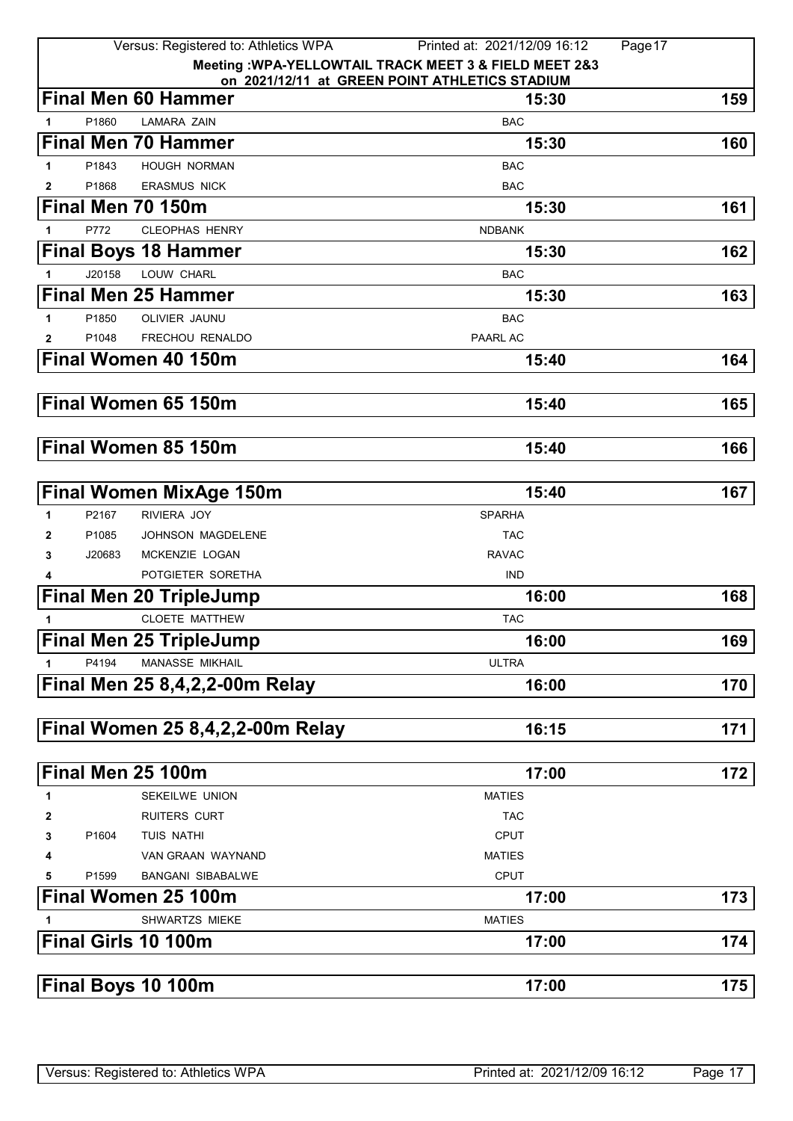|   |        | Versus: Registered to: Athletics WPA  | Page 17<br>Printed at: 2021/12/09 16:12                 |     |
|---|--------|---------------------------------------|---------------------------------------------------------|-----|
|   |        |                                       | Meeting : WPA-YELLOWTAIL TRACK MEET 3 & FIELD MEET 2&3  |     |
|   |        | <b>Final Men 60 Hammer</b>            | on 2021/12/11 at GREEN POINT ATHLETICS STADIUM<br>15:30 | 159 |
| 1 | P1860  | <b>LAMARA ZAIN</b>                    | <b>BAC</b>                                              |     |
|   |        | <b>Final Men 70 Hammer</b>            | 15:30                                                   | 160 |
| 1 | P1843  | <b>HOUGH NORMAN</b>                   | <b>BAC</b>                                              |     |
| 2 | P1868  | <b>ERASMUS NICK</b>                   | <b>BAC</b>                                              |     |
|   |        | Final Men 70 150m                     | 15:30                                                   | 161 |
| 1 | P772   | <b>CLEOPHAS HENRY</b>                 | <b>NDBANK</b>                                           |     |
|   |        | <b>Final Boys 18 Hammer</b>           | 15:30                                                   | 162 |
| 1 | J20158 | LOUW CHARL                            | <b>BAC</b>                                              |     |
|   |        | <b>Final Men 25 Hammer</b>            | 15:30                                                   | 163 |
| 1 | P1850  | OLIVIER JAUNU                         | <b>BAC</b>                                              |     |
| 2 | P1048  | FRECHOU RENALDO                       | PAARL AC                                                |     |
|   |        | Final Women 40 150m                   | 15:40                                                   | 164 |
|   |        |                                       |                                                         |     |
|   |        | Final Women 65 150m                   | 15:40                                                   | 165 |
|   |        |                                       |                                                         |     |
|   |        | Final Women 85 150m                   | 15:40                                                   | 166 |
|   |        |                                       |                                                         |     |
|   |        | <b>Final Women MixAge 150m</b>        | 15:40                                                   | 167 |
| 1 | P2167  | RIVIERA JOY                           | <b>SPARHA</b>                                           |     |
| 2 | P1085  | JOHNSON MAGDELENE                     | <b>TAC</b>                                              |     |
| 3 | J20683 | MCKENZIE LOGAN                        | <b>RAVAC</b>                                            |     |
| 4 |        | POTGIETER SORETHA                     | <b>IND</b>                                              |     |
|   |        | <b>Final Men 20 TripleJump</b>        | 16:00                                                   | 168 |
| 1 |        | <b>CLOETE MATTHEW</b>                 | <b>TAC</b>                                              |     |
|   |        | <b>Final Men 25 TripleJump</b>        | 16:00                                                   | 169 |
|   | P4194  | MANASSE MIKHAIL                       | <b>ULTRA</b>                                            |     |
|   |        | <b>Final Men 25 8,4,2,2-00m Relay</b> | 16:00                                                   | 170 |
|   |        |                                       |                                                         |     |
|   |        | Final Women 25 8,4,2,2-00m Relay      | 16:15                                                   | 171 |
|   |        |                                       |                                                         |     |
|   |        | Final Men 25 100m                     | 17:00                                                   | 172 |
| 1 |        | SEKEILWE UNION                        | <b>MATIES</b>                                           |     |
| 2 |        | <b>RUITERS CURT</b>                   | <b>TAC</b>                                              |     |
| 3 | P1604  | TUIS NATHI                            | <b>CPUT</b>                                             |     |
| 4 |        | VAN GRAAN WAYNAND                     | <b>MATIES</b>                                           |     |
| 5 | P1599  | <b>BANGANI SIBABALWE</b>              | <b>CPUT</b>                                             |     |
|   |        | Final Women 25 100m                   | 17:00                                                   | 173 |
| 1 |        | SHWARTZS MIEKE                        | <b>MATIES</b>                                           |     |
|   |        | Final Girls 10 100m                   | 17:00                                                   | 174 |
|   |        |                                       |                                                         |     |
|   |        | Final Boys 10 100m                    | 17:00                                                   | 175 |